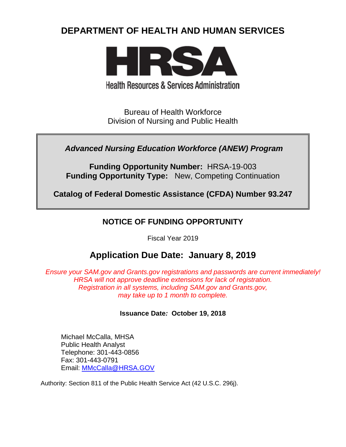# **DEPARTMENT OF HEALTH AND HUMAN SERVICES**



**Health Resources & Services Administration** 

Bureau of Health Workforce Division of Nursing and Public Health

*Advanced Nursing Education Workforce (ANEW) Program*

**Funding Opportunity Number:** HRSA-19-003 **Funding Opportunity Type:** New, Competing Continuation

**Catalog of Federal Domestic Assistance (CFDA) Number 93.247**

# **NOTICE OF FUNDING OPPORTUNITY**

Fiscal Year 2019

# **Application Due Date: January 8, 2019**

*Ensure your SAM.gov and Grants.gov registrations and passwords are current immediately! HRSA will not approve deadline extensions for lack of registration. Registration in all systems, including SAM.gov and Grants.gov, may take up to 1 month to complete.*

## **Issuance Date***:* **October 19, 2018**

Michael McCalla, MHSA Public Health Analyst Telephone: 301-443-0856 Fax: 301-443-0791 Email: **MMcCalla@HRSA.GOV** 

Authority: Section 811 of the Public Health Service Act (42 U.S.C. 296j).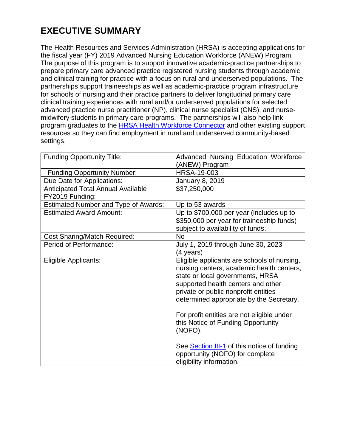# **EXECUTIVE SUMMARY**

The Health Resources and Services Administration (HRSA) is accepting applications for the fiscal year (FY) 2019 Advanced Nursing Education Workforce (ANEW) Program. The purpose of this program is to support innovative academic-practice partnerships to prepare primary care advanced practice registered nursing students through academic and clinical training for practice with a focus on rural and underserved populations. The partnerships support traineeships as well as academic-practice program infrastructure for schools of nursing and their practice partners to deliver longitudinal primary care clinical training experiences with rural and/or underserved populations for selected advanced practice nurse practitioner (NP), clinical nurse specialist (CNS), and nursemidwifery students in primary care programs. The partnerships will also help link program graduates to the [HRSA Health Workforce Connector](https://connector.hrsa.gov/connector/) and other existing support resources so they can find employment in rural and underserved community-based settings.

| <b>Funding Opportunity Title:</b>           | Advanced Nursing Education Workforce                                                                                                                                                                                                                                                                                                                  |
|---------------------------------------------|-------------------------------------------------------------------------------------------------------------------------------------------------------------------------------------------------------------------------------------------------------------------------------------------------------------------------------------------------------|
|                                             | (ANEW) Program                                                                                                                                                                                                                                                                                                                                        |
| <b>Funding Opportunity Number:</b>          | <b>HRSA-19-003</b>                                                                                                                                                                                                                                                                                                                                    |
| Due Date for Applications:                  | January 8, 2019                                                                                                                                                                                                                                                                                                                                       |
| <b>Anticipated Total Annual Available</b>   | \$37,250,000                                                                                                                                                                                                                                                                                                                                          |
| FY2019 Funding:                             |                                                                                                                                                                                                                                                                                                                                                       |
| <b>Estimated Number and Type of Awards:</b> | Up to 53 awards                                                                                                                                                                                                                                                                                                                                       |
| <b>Estimated Award Amount:</b>              | Up to \$700,000 per year (includes up to                                                                                                                                                                                                                                                                                                              |
|                                             | \$350,000 per year for traineeship funds)                                                                                                                                                                                                                                                                                                             |
|                                             | subject to availability of funds.                                                                                                                                                                                                                                                                                                                     |
| <b>Cost Sharing/Match Required:</b>         | <b>No</b>                                                                                                                                                                                                                                                                                                                                             |
| Period of Performance:                      | July 1, 2019 through June 30, 2023                                                                                                                                                                                                                                                                                                                    |
|                                             | (4 years)                                                                                                                                                                                                                                                                                                                                             |
| Eligible Applicants:                        | Eligible applicants are schools of nursing,<br>nursing centers, academic health centers,<br>state or local governments, HRSA<br>supported health centers and other<br>private or public nonprofit entities<br>determined appropriate by the Secretary.<br>For profit entities are not eligible under<br>this Notice of Funding Opportunity<br>(NOFO). |
|                                             | See <b>Section III-1</b> of this notice of funding<br>opportunity (NOFO) for complete<br>eligibility information.                                                                                                                                                                                                                                     |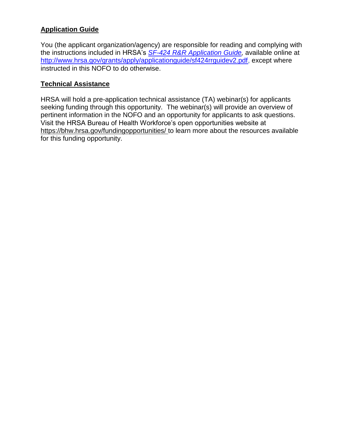# **Application Guide**

You (the applicant organization/agency) are responsible for reading and complying with the instructions included in HRSA's *SF-424 [R&R Application Guide,](http://www.hrsa.gov/grants/apply/applicationguide/sf424rrguidev2.pdf)* available online at [http://www.hrsa.gov/grants/apply/applicationguide/sf424rrguidev2.pdf,](http://www.hrsa.gov/grants/apply/applicationguide/sf424rrguidev2.pdf) except where instructed in this NOFO to do otherwise.

### **Technical Assistance**

HRSA will hold a pre-application technical assistance (TA) webinar(s) for applicants seeking funding through this opportunity. The webinar(s) will provide an overview of pertinent information in the NOFO and an opportunity for applicants to ask questions. Visit the HRSA Bureau of Health Workforce's open opportunities website at <https://bhw.hrsa.gov/fundingopportunities/> to learn more about the resources available for this funding opportunity.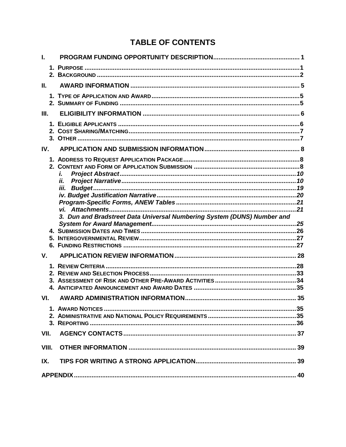# **TABLE OF CONTENTS**

| L.          |                                                                         |  |
|-------------|-------------------------------------------------------------------------|--|
|             |                                                                         |  |
| Ш.          |                                                                         |  |
|             |                                                                         |  |
| III.        |                                                                         |  |
|             |                                                                         |  |
| IV.         |                                                                         |  |
|             |                                                                         |  |
|             | i.                                                                      |  |
|             | ii.                                                                     |  |
|             | iii.                                                                    |  |
|             |                                                                         |  |
|             |                                                                         |  |
|             |                                                                         |  |
|             | 3. Dun and Bradstreet Data Universal Numbering System (DUNS) Number and |  |
|             |                                                                         |  |
|             |                                                                         |  |
|             |                                                                         |  |
| $V_{\cdot}$ |                                                                         |  |
|             |                                                                         |  |
|             |                                                                         |  |
|             |                                                                         |  |
|             |                                                                         |  |
| VI.         |                                                                         |  |
|             |                                                                         |  |
|             |                                                                         |  |
| VII.        |                                                                         |  |
| VIII.       |                                                                         |  |
| IX.         |                                                                         |  |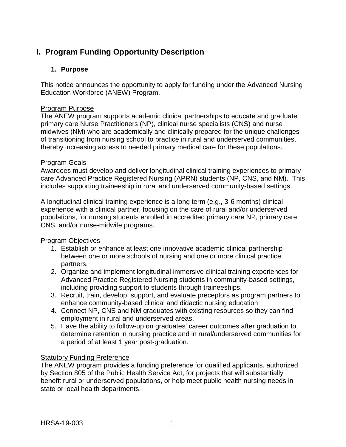# <span id="page-4-0"></span>**I. Program Funding Opportunity Description**

# <span id="page-4-1"></span>**1. Purpose**

This notice announces the opportunity to apply for funding under the Advanced Nursing Education Workforce (ANEW) Program.

## Program Purpose

The ANEW program supports academic clinical partnerships to educate and graduate primary care Nurse Practitioners (NP), clinical nurse specialists (CNS) and nurse midwives (NM) who are academically and clinically prepared for the unique challenges of transitioning from nursing school to practice in rural and underserved communities, thereby increasing access to needed primary medical care for these populations.

# Program Goals

Awardees must develop and deliver longitudinal clinical training experiences to primary care Advanced Practice Registered Nursing (APRN) students (NP, CNS, and NM). This includes supporting traineeship in rural and underserved community-based settings.

A longitudinal clinical training experience is a long term (e.g., 3-6 months) clinical experience with a clinical partner, focusing on the care of rural and/or underserved populations, for nursing students enrolled in accredited primary care NP, primary care CNS, and/or nurse-midwife programs.

# Program Objectives

- 1. Establish or enhance at least one innovative academic clinical partnership between one or more schools of nursing and one or more clinical practice partners.
- 2. Organize and implement longitudinal immersive clinical training experiences for Advanced Practice Registered Nursing students in community-based settings, including providing support to students through traineeships.
- 3. Recruit, train, develop, support, and evaluate preceptors as program partners to enhance community-based clinical and didactic nursing education
- 4. Connect NP, CNS and NM graduates with existing resources so they can find employment in rural and underserved areas.
- 5. Have the ability to follow-up on graduates' career outcomes after graduation to determine retention in nursing practice and in rural/underserved communities for a period of at least 1 year post-graduation.

# **Statutory Funding Preference**

The ANEW program provides a funding preference for qualified applicants, authorized by Section 805 of the Public Health Service Act, for projects that will substantially benefit rural or underserved populations, or help meet public health nursing needs in state or local health departments.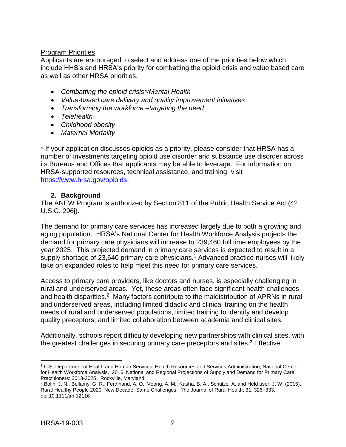## Program Priorities

Applicants are encouraged to select and address one of the priorities below which include HHS's and HRSA's priority for combatting the opioid crisis and value based care as well as other HRSA priorities.

- *Combatting the opioid crisis\*/Mental Health*
- *Value-based care delivery and quality improvement initiatives*
- *Transforming the workforce –targeting the need*
- *Telehealth*
- *Childhood obesity*
- *Maternal Mortality*

\* If your application discusses opioids as a priority, please consider that HRSA has a number of investments targeting opioid use disorder and substance use disorder across its Bureaus and Offices that applicants may be able to leverage. For information on HRSA-supported resources, technical assistance, and training, visit [https://www.hrsa.gov/opioids.](https://www.hrsa.gov/opioids)

#### **2. Background**

<span id="page-5-0"></span>The ANEW Program is authorized by Section 811 of the Public Health Service Act (42 U.S.C. 296j).

The demand for primary care services has increased largely due to both a growing and aging population. HRSA's National Center for Health Workforce Analysis projects the demand for primary care physicians will increase to 239,460 full time employees by the year 2025. This projected demand in primary care services is expected to result in a supply shortage of 23,640 primary care physicians.<sup>1</sup> Advanced practice nurses will likely take on expanded roles to help meet this need for primary care services.

<span id="page-5-1"></span>Access to primary care providers, like doctors and nurses, is especially challenging in rural and underserved areas. Yet, these areas often face significant health challenges and health disparities.<sup>2</sup> Many factors contribute to the maldistribution of APRNs in rural and underserved areas, including limited didactic and clinical training on the health needs of rural and underserved populations, limited training to identify and develop quality preceptors, and limited collaboration between academia and clinical sites.

Additionally, schools report difficulty developing new partnerships with clinical sites, with the greatest challenges in securing primary care preceptors and sites.<sup>[2](#page-5-1)</sup> Effective

 $\overline{a}$ <sup>1</sup> U.S. Department of Health and Human Services, Health Resources and Services Administration, National Center for Health Workforce Analysis. 2016. National and Regional Projections of Supply and Demand for Primary Care Practitioners: 2013-2025. Rockville, Maryland.

<sup>2</sup> Bolin, J. N., Bellamy, G. R., Ferdinand, A. O., Voong, A. M., Kasha, B. A., Schulze, A. and Held user, J. W. (2015), Rural Healthy People 2020: New Decade, Same Challenges. The Journal of Rural Health, 31: 326–333. doi:10.1111/jrh.12116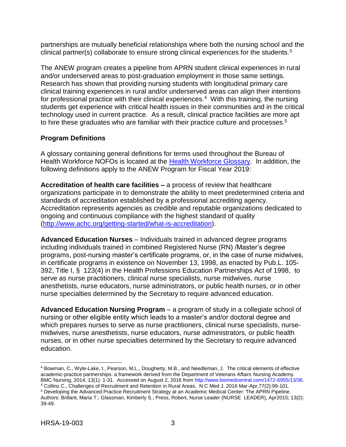partnerships are mutually beneficial relationships where both the nursing school and the clinical partner(s) collaborate to ensure strong clinical experiences for the students.<sup>3</sup>

The ANEW program creates a pipeline from APRN student clinical experiences in rural and/or underserved areas to post-graduation employment in those same settings. Research has shown that providing nursing students with longitudinal primary care clinical training experiences in rural and/or underserved areas can align their intentions for professional practice with their clinical experiences.<sup>4</sup> With this training, the nursing students get experience with critical health issues in their communities and in the critical technology used in current practice. As a result, clinical practice facilities are more apt to hire these graduates who are familiar with their practice culture and processes.<sup>5</sup>

### **Program Definitions**

A glossary containing general definitions for terms used throughout the Bureau of Health Workforce NOFOs is located at the [Health Workforce Glossary.](https://bhw.hrsa.gov/grants/resourcecenter/glossary) In addition, the following definitions apply to the ANEW Program for Fiscal Year 2019:

**Accreditation of health care facilities –** a process of review that healthcare organizations participate in to demonstrate the ability to meet predetermined criteria and standards of accreditation established by a professional accrediting agency. Accreditation represents agencies as credible and reputable organizations dedicated to ongoing and continuous compliance with the highest standard of quality [\(http://www.achc.org/getting-started/what-is-accreditation\)](http://www.achc.org/getting-started/what-is-accreditation).

**Advanced Education Nurses** – Individuals trained in advanced degree programs including individuals trained in combined Registered Nurse (RN) /Master's degree programs, post-nursing master's certificate programs, or, in the case of nurse midwives, in certificate programs in existence on November 13, 1998, as enacted by Pub.L. 105- 392, Title I, § 123(4) in the Health Professions Education Partnerships Act of 1998, to serve as nurse practitioners, clinical nurse specialists, nurse midwives, nurse anesthetists, nurse educators, nurse administrators, or public health nurses, or in other nurse specialties determined by the Secretary to require advanced education.

**Advanced Education Nursing Program** – a program of study in a collegiate school of nursing or other eligible entity which leads to a master's and/or doctoral degree and which prepares nurses to serve as nurse practitioners, clinical nurse specialists, nursemidwives, nurse anesthetists, nurse educators, nurse administrators, or public health nurses, or in other nurse specialties determined by the Secretary to require advanced education.

<sup>4</sup> Collins C., Challenges of Recruitment and Retention in Rural Areas. N C Med J. 2016 Mar-Apr;77(2):99-101.

 $\overline{a}$ 

<sup>4</sup> Bowman, C., Wyte-Lake, t., Pearson, M.L., Dougherty, M.B., and Needleman, J. The critical elements of effective academic-practice partnerships: a framework derived from the Department of Veterans Affairs Nursing Academy. BMC Nursing, 2014; 13(1): 1-31. Accessed on August 2, 2016 from http://www.biomedcentral.com/1472-6955/13/36.

<sup>5</sup> Developing the Advanced Practice Recruitment Strategy at an Academic Medical Center: The APRN Pipeline. Authors: Brillant, Maria T.; Glassman, Kimberly S.; Press, Robert, Nurse Leader (NURSE LEADER), Apr2015; 13(2): 39-49.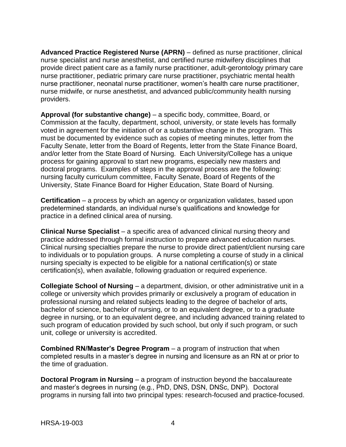**Advanced Practice Registered Nurse (APRN)** – defined as nurse practitioner, clinical nurse specialist and nurse anesthetist, and certified nurse midwifery disciplines that provide direct patient care as a family nurse practitioner, adult-gerontology primary care nurse practitioner, pediatric primary care nurse practitioner, psychiatric mental health nurse practitioner, neonatal nurse practitioner, women's health care nurse practitioner, nurse midwife, or nurse anesthetist, and advanced public/community health nursing providers.

**Approval (for substantive change)** – a specific body, committee, Board, or Commission at the faculty, department, school, university, or state levels has formally voted in agreement for the initiation of or a substantive change in the program. This must be documented by evidence such as copies of meeting minutes, letter from the Faculty Senate, letter from the Board of Regents, letter from the State Finance Board, and/or letter from the State Board of Nursing. Each University/College has a unique process for gaining approval to start new programs, especially new masters and doctoral programs. Examples of steps in the approval process are the following: nursing faculty curriculum committee, Faculty Senate, Board of Regents of the University, State Finance Board for Higher Education, State Board of Nursing.

**Certification** – a process by which an agency or organization validates, based upon predetermined standards, an individual nurse's qualifications and knowledge for practice in a defined clinical area of nursing.

**Clinical Nurse Specialist** – a specific area of advanced clinical nursing theory and practice addressed through formal instruction to prepare advanced education nurses. Clinical nursing specialties prepare the nurse to provide direct patient/client nursing care to individuals or to population groups. A nurse completing a course of study in a clinical nursing specialty is expected to be eligible for a national certification(s) or state certification(s), when available, following graduation or required experience.

**Collegiate School of Nursing** – a department, division, or other administrative unit in a college or university which provides primarily or exclusively a program of education in professional nursing and related subjects leading to the degree of bachelor of arts, bachelor of science, bachelor of nursing, or to an equivalent degree, or to a graduate degree in nursing, or to an equivalent degree, and including advanced training related to such program of education provided by such school, but only if such program, or such unit, college or university is accredited.

**Combined RN/Master's Degree Program** – a program of instruction that when completed results in a master's degree in nursing and licensure as an RN at or prior to the time of graduation.

**Doctoral Program in Nursing** – a program of instruction beyond the baccalaureate and master's degrees in nursing (e.g., PhD, DNS, DSN, DNSc, DNP). Doctoral programs in nursing fall into two principal types: research-focused and practice-focused.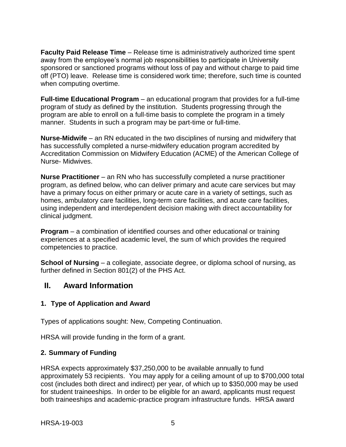**Faculty Paid Release Time** – Release time is administratively authorized time spent away from the employee's normal job responsibilities to participate in University sponsored or sanctioned programs without loss of pay and without charge to paid time off (PTO) leave. Release time is considered work time; therefore, such time is counted when computing overtime.

**Full-time Educational Program** – an educational program that provides for a full-time program of study as defined by the institution. Students progressing through the program are able to enroll on a full-time basis to complete the program in a timely manner. Students in such a program may be part-time or full-time.

**Nurse-Midwife** – an RN educated in the two disciplines of nursing and midwifery that has successfully completed a nurse-midwifery education program accredited by Accreditation Commission on Midwifery Education (ACME) of the American College of Nurse- Midwives.

**Nurse Practitioner** – an RN who has successfully completed a nurse practitioner program, as defined below, who can deliver primary and acute care services but may have a primary focus on either primary or acute care in a variety of settings, such as homes, ambulatory care facilities, long-term care facilities, and acute care facilities, using independent and interdependent decision making with direct accountability for clinical judgment.

**Program** – a combination of identified courses and other educational or training experiences at a specified academic level, the sum of which provides the required competencies to practice.

**School of Nursing** – a collegiate, associate degree, or diploma school of nursing, as further defined in Section 801(2) of the PHS Act.

# <span id="page-8-0"></span>**II. Award Information**

## <span id="page-8-1"></span>**1. Type of Application and Award**

Types of applications sought: New, Competing Continuation.

HRSA will provide funding in the form of a grant.

## <span id="page-8-2"></span>**2. Summary of Funding**

HRSA expects approximately \$37,250,000 to be available annually to fund approximately 53 recipients. You may apply for a ceiling amount of up to \$700,000 total cost (includes both direct and indirect) per year, of which up to \$350,000 may be used for student traineeships. In order to be eligible for an award, applicants must request both traineeships and academic-practice program infrastructure funds. HRSA award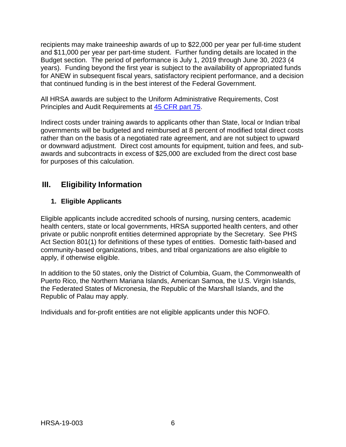recipients may make traineeship awards of up to \$22,000 per year per full-time student and \$11,000 per year per part-time student. Further funding details are located in the Budget section. The period of performance is July 1, 2019 through June 30, 2023 (4 years). Funding beyond the first year is subject to the availability of appropriated funds for ANEW in subsequent fiscal years, satisfactory recipient performance, and a decision that continued funding is in the best interest of the Federal Government.

All HRSA awards are subject to the Uniform Administrative Requirements, Cost Principles and Audit Requirements at [45 CFR part 75.](http://www.ecfr.gov/cgi-bin/retrieveECFR?gp=1&SID=4d52364ec83fab994c665943dadf9cf7&ty=HTML&h=L&r=PART&n=pt45.1.75)

Indirect costs under training awards to applicants other than State, local or Indian tribal governments will be budgeted and reimbursed at 8 percent of modified total direct costs rather than on the basis of a negotiated rate agreement, and are not subject to upward or downward adjustment. Direct cost amounts for equipment, tuition and fees, and subawards and subcontracts in excess of \$25,000 are excluded from the direct cost base for purposes of this calculation.

# <span id="page-9-1"></span><span id="page-9-0"></span>**III. Eligibility Information**

# **1. Eligible Applicants**

Eligible applicants include accredited schools of nursing, nursing centers, academic health centers, state or local governments, HRSA supported health centers, and other private or public nonprofit entities determined appropriate by the Secretary. See PHS Act Section 801(1) for definitions of these types of entities. Domestic faith-based and community-based organizations, tribes, and tribal organizations are also eligible to apply, if otherwise eligible.

In addition to the 50 states, only the District of Columbia, Guam, the Commonwealth of Puerto Rico, the Northern Mariana Islands, American Samoa, the U.S. Virgin Islands, the Federated States of Micronesia, the Republic of the Marshall Islands, and the Republic of Palau may apply.

Individuals and for-profit entities are not eligible applicants under this NOFO.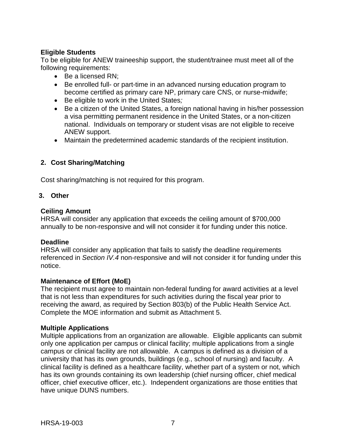## **Eligible Students**

To be eligible for ANEW traineeship support, the student/trainee must meet all of the following requirements:

- Be a licensed RN;
- Be enrolled full- or part-time in an advanced nursing education program to become certified as primary care NP, primary care CNS, or nurse-midwife;
- Be eligible to work in the United States*;*
- Be a citizen of the United States, a foreign national having in his/her possession a visa permitting permanent residence in the United States, or a non-citizen national. Individuals on temporary or student visas are not eligible to receive ANEW support*.*
- Maintain the predetermined academic standards of the recipient institution.

### <span id="page-10-0"></span>**2. Cost Sharing/Matching**

Cost sharing/matching is not required for this program.

#### <span id="page-10-1"></span>**3. Other**

#### **Ceiling Amount**

HRSA will consider any application that exceeds the ceiling amount of \$700,000 annually to be non-responsive and will not consider it for funding under this notice.

#### **Deadline**

HRSA will consider any application that fails to satisfy the deadline requirements referenced in *Section IV.4* non-responsive and will not consider it for funding under this notice.

#### **Maintenance of Effort (MoE)**

The recipient must agree to maintain non-federal funding for award activities at a level that is not less than expenditures for such activities during the fiscal year prior to receiving the award, as required by Section 803(b) of the Public Health Service Act. Complete the MOE information and submit as Attachment 5.

#### **Multiple Applications**

Multiple applications from an organization are allowable. Eligible applicants can submit only one application per campus or clinical facility; multiple applications from a single campus or clinical facility are not allowable. A campus is defined as a division of a university that has its own grounds, buildings (e.g., school of nursing) and faculty. A clinical facility is defined as a healthcare facility, whether part of a system or not, which has its own grounds containing its own leadership (chief nursing officer, chief medical officer, chief executive officer, etc.). Independent organizations are those entities that have unique DUNS numbers.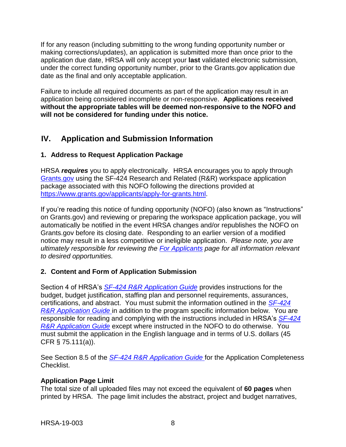If for any reason (including submitting to the wrong funding opportunity number or making corrections/updates), an application is submitted more than once prior to the application due date, HRSA will only accept your **last** validated electronic submission, under the correct funding opportunity number, prior to the Grants.gov application due date as the final and only acceptable application.

Failure to include all required documents as part of the application may result in an application being considered incomplete or non-responsive. **Applications received without the appropriate tables will be deemed non-responsive to the NOFO and will not be considered for funding under this notice.**

# <span id="page-11-0"></span>**IV. Application and Submission Information**

# <span id="page-11-1"></span>**1. Address to Request Application Package**

HRSA *requires* you to apply electronically. HRSA encourages you to apply through [Grants.gov](https://www.grants.gov/) using the SF-424 Research and Related (R&R) workspace application package associated with this NOFO following the directions provided at [https://www.grants.gov/applicants/apply-for-grants.html.](https://www.grants.gov/applicants/apply-for-grants.html)

If you're reading this notice of funding opportunity (NOFO) (also known as "Instructions" on Grants.gov) and reviewing or preparing the workspace application package, you will automatically be notified in the event HRSA changes and/or republishes the NOFO on Grants.gov before its closing date. Responding to an earlier version of a modified notice may result in a less competitive or ineligible application. *Please note, you are ultimately responsible for reviewing the [For Applicants](https://www.grants.gov/web/grants/applicants.html) page for all information relevant to desired opportunities.*

# <span id="page-11-2"></span>**2. Content and Form of Application Submission**

Section 4 of HRSA's *SF-424 R&R [Application Guide](http://www.hrsa.gov/grants/apply/applicationguide/sf424rrguidev2.pdf)* provides instructions for the budget, budget justification, staffing plan and personnel requirements, assurances, certifications, and abstract. You must submit the information outlined in the *[SF-424](http://www.hrsa.gov/grants/apply/applicationguide/sf424rrguidev2.pdf) R&R [Application Guide](http://www.hrsa.gov/grants/apply/applicationguide/sf424rrguidev2.pdf)* in addition to the program specific information below. You are responsible for reading and complying with the instructions included in HRSA's *[SF-424](http://www.hrsa.gov/grants/apply/applicationguide/sf424rrguidev2.pdf) R&R [Application Guide](http://www.hrsa.gov/grants/apply/applicationguide/sf424rrguidev2.pdf)* except where instructed in the NOFO to do otherwise. You must submit the application in the English language and in terms of U.S. dollars (45 CFR § 75.111(a)).

See Section 8.5 of the *SF-424 R&R [Application Guide](http://www.hrsa.gov/grants/apply/applicationguide/sf424rrguidev2.pdf)* for the Application Completeness Checklist.

# **Application Page Limit**

The total size of all uploaded files may not exceed the equivalent of **60 pages** when printed by HRSA. The page limit includes the abstract, project and budget narratives,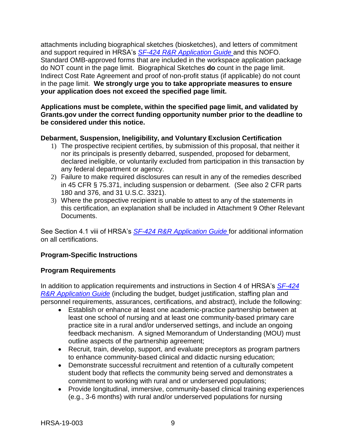attachments including biographical sketches (biosketches), and letters of commitment and support required in HRSA's *SF-424 R&R [Application Guide](http://www.hrsa.gov/grants/apply/applicationguide/sf424rrguidev2.pdf)* and this NOFO. Standard OMB-approved forms that are included in the workspace application package do NOT count in the page limit. Biographical Sketches **do** count in the page limit. Indirect Cost Rate Agreement and proof of non-profit status (if applicable) do not count in the page limit. **We strongly urge you to take appropriate measures to ensure your application does not exceed the specified page limit.**

#### **Applications must be complete, within the specified page limit, and validated by Grants.gov under the correct funding opportunity number prior to the deadline to be considered under this notice.**

## **Debarment, Suspension, Ineligibility, and Voluntary Exclusion Certification**

- 1) The prospective recipient certifies, by submission of this proposal, that neither it nor its principals is presently debarred, suspended, proposed for debarment, declared ineligible, or voluntarily excluded from participation in this transaction by any federal department or agency.
- 2) Failure to make required disclosures can result in any of the remedies described in 45 CFR § 75.371, including suspension or debarment. (See also 2 CFR parts 180 and 376, and 31 U.S.C. 3321).
- 3) Where the prospective recipient is unable to attest to any of the statements in this certification, an explanation shall be included in Attachment 9 Other Relevant Documents.

See Section 4.1 viii of HRSA's *SF-424 R&R [Application Guide](http://www.hrsa.gov/grants/apply/applicationguide/sf424rrguidev2.pdf)* for additional information on all certifications.

# **Program-Specific Instructions**

#### **Program Requirements**

In addition to application requirements and instructions in Section 4 of HRSA's *[SF-424](http://www.hrsa.gov/grants/apply/applicationguide/sf424rrguidev2.pdf) R&R [Application Guide](http://www.hrsa.gov/grants/apply/applicationguide/sf424rrguidev2.pdf)* (including the budget, budget justification, staffing plan and personnel requirements, assurances, certifications, and abstract), include the following:

- Establish or enhance at least one academic-practice partnership between at least one school of nursing and at least one community-based primary care practice site in a rural and/or underserved settings, and include an ongoing feedback mechanism. A signed Memorandum of Understanding (MOU) must outline aspects of the partnership agreement;
- Recruit, train, develop, support, and evaluate preceptors as program partners to enhance community-based clinical and didactic nursing education;
- Demonstrate successful recruitment and retention of a culturally competent student body that reflects the community being served and demonstrates a commitment to working with rural and or underserved populations;
- Provide longitudinal, immersive, community-based clinical training experiences (e.g., 3-6 months) with rural and/or underserved populations for nursing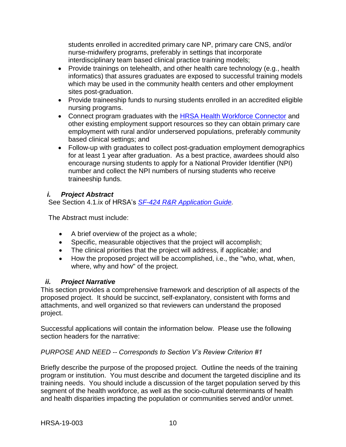students enrolled in accredited primary care NP, primary care CNS, and/or nurse-midwifery programs, preferably in settings that incorporate interdisciplinary team based clinical practice training models;

- Provide trainings on telehealth, and other health care technology (e.g., health informatics) that assures graduates are exposed to successful training models which may be used in the community health centers and other employment sites post-graduation.
- Provide traineeship funds to nursing students enrolled in an accredited eligible nursing programs.
- Connect program graduates with the [HRSA Health Workforce Connector](https://connector.hrsa.gov/connector/) and other existing employment support resources so they can obtain primary care employment with rural and/or underserved populations, preferably community based clinical settings; and
- Follow-up with graduates to collect post-graduation employment demographics for at least 1 year after graduation. As a best practice, awardees should also encourage nursing students to apply for a National Provider Identifier (NPI) number and collect the NPI numbers of nursing students who receive traineeship funds.

# <span id="page-13-0"></span>*i. Project Abstract*

See Section 4.1.ix of HRSA's *SF-424 R&R [Application Guide.](http://www.hrsa.gov/grants/apply/applicationguide/sf424rrguidev2.pdf)*

The Abstract must include:

- A brief overview of the project as a whole;
- Specific, measurable objectives that the project will accomplish;
- The clinical priorities that the project will address, if applicable; and
- How the proposed project will be accomplished, i.e., the "who, what, when, where, why and how" of the project.

## <span id="page-13-1"></span>*ii. Project Narrative*

This section provides a comprehensive framework and description of all aspects of the proposed project. It should be succinct, self-explanatory, consistent with forms and attachments, and well organized so that reviewers can understand the proposed project.

Successful applications will contain the information below. Please use the following section headers for the narrative:

# *PURPOSE AND NEED -- Corresponds to Section V's Review Criterion #1*

Briefly describe the purpose of the proposed project. Outline the needs of the training program or institution. You must describe and document the targeted discipline and its training needs. You should include a discussion of the target population served by this segment of the health workforce, as well as the socio-cultural determinants of health and health disparities impacting the population or communities served and/or unmet.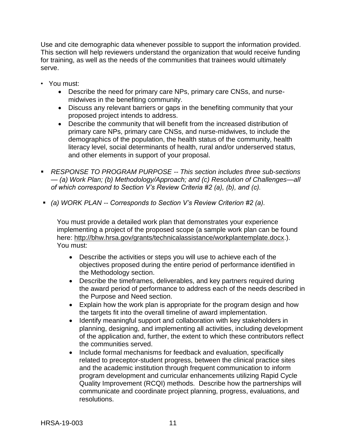Use and cite demographic data whenever possible to support the information provided. This section will help reviewers understand the organization that would receive funding for training, as well as the needs of the communities that trainees would ultimately serve.

- You must:
	- Describe the need for primary care NPs, primary care CNSs, and nursemidwives in the benefiting community.
	- Discuss any relevant barriers or gaps in the benefiting community that your proposed project intends to address.
	- Describe the community that will benefit from the increased distribution of primary care NPs, primary care CNSs, and nurse-midwives, to include the demographics of the population, the health status of the community, health literacy level, social determinants of health, rural and/or underserved status, and other elements in support of your proposal.
- *RESPONSE TO PROGRAM PURPOSE -- This section includes three sub-sections — (a) Work Plan; (b) Methodology/Approach; and (c) Resolution of Challenges—all of which correspond to Section V's Review Criteria #2 (a), (b), and (c).*
- *(a) WORK PLAN -- Corresponds to Section V's Review Criterion #2 (a).*

You must provide a detailed work plan that demonstrates your experience implementing a project of the proposed scope (a sample work plan can be found here: [http://bhw.hrsa.gov/grants/technicalassistance/workplantemplate.docx.](http://bhw.hrsa.gov/grants/technicalassistance/workplantemplate.docx)). You must:

- Describe the activities or steps you will use to achieve each of the objectives proposed during the entire period of performance identified in the Methodology section.
- Describe the timeframes, deliverables, and key partners required during the award period of performance to address each of the needs described in the Purpose and Need section.
- Explain how the work plan is appropriate for the program design and how the targets fit into the overall timeline of award implementation.
- Identify meaningful support and collaboration with key stakeholders in planning, designing, and implementing all activities, including development of the application and, further, the extent to which these contributors reflect the communities served.
- Include formal mechanisms for feedback and evaluation, specifically related to preceptor-student progress, between the clinical practice sites and the academic institution through frequent communication to inform program development and curricular enhancements utilizing Rapid Cycle Quality Improvement (RCQI) methods. Describe how the partnerships will communicate and coordinate project planning, progress, evaluations, and resolutions.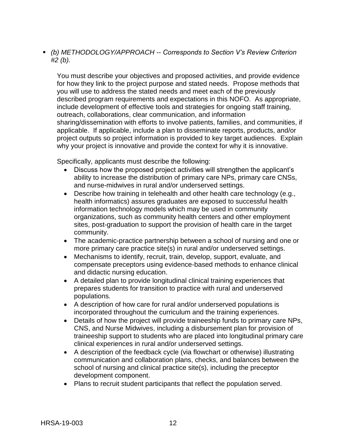*(b) METHODOLOGY/APPROACH -- Corresponds to Section V's Review Criterion #2 (b).*

You must describe your objectives and proposed activities, and provide evidence for how they link to the project purpose and stated needs. Propose methods that you will use to address the stated needs and meet each of the previously described program requirements and expectations in this NOFO. As appropriate, include development of effective tools and strategies for ongoing staff training, outreach, collaborations, clear communication, and information sharing/dissemination with efforts to involve patients, families, and communities, if applicable. If applicable, include a plan to disseminate reports, products, and/or project outputs so project information is provided to key target audiences. Explain why your project is innovative and provide the context for why it is innovative.

Specifically, applicants must describe the following:

- Discuss how the proposed project activities will strengthen the applicant's ability to increase the distribution of primary care NPs, primary care CNSs, and nurse-midwives in rural and/or underserved settings.
- Describe how training in telehealth and other health care technology (e.g., health informatics) assures graduates are exposed to successful health information technology models which may be used in community organizations, such as community health centers and other employment sites, post-graduation to support the provision of health care in the target community.
- The academic-practice partnership between a school of nursing and one or more primary care practice site(s) in rural and/or underserved settings.
- Mechanisms to identify, recruit, train, develop, support, evaluate, and compensate preceptors using evidence-based methods to enhance clinical and didactic nursing education.
- A detailed plan to provide longitudinal clinical training experiences that prepares students for transition to practice with rural and underserved populations.
- A description of how care for rural and/or underserved populations is incorporated throughout the curriculum and the training experiences.
- Details of how the project will provide traineeship funds to primary care NPs, CNS, and Nurse Midwives, including a disbursement plan for provision of traineeship support to students who are placed into longitudinal primary care clinical experiences in rural and/or underserved settings.
- A description of the feedback cycle (via flowchart or otherwise) illustrating communication and collaboration plans, checks, and balances between the school of nursing and clinical practice site(s), including the preceptor development component.
- Plans to recruit student participants that reflect the population served.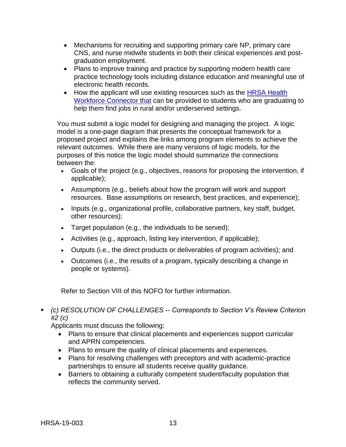- Mechanisms for recruiting and supporting primary care NP, primary care CNS, and nurse midwife students in both their clinical experiences and postgraduation employment.
- Plans to improve training and practice by supporting modern health care practice technology tools including distance education and meaningful use of electronic health records.
- How the applicant will use existing resources such as the **HRSA Health** [Workforce Connector](https://connector.hrsa.gov/connector/) that can be provided to students who are graduating to help them find jobs in rural and/or underserved settings.

You must submit a logic model for designing and managing the project. A logic model is a one-page diagram that presents the conceptual framework for a proposed project and explains the links among program elements to achieve the relevant outcomes. While there are many versions of logic models, for the purposes of this notice the logic model should summarize the connections between the:

- Goals of the project (e.g., objectives, reasons for proposing the intervention, if applicable);
- Assumptions (e.g., beliefs about how the program will work and support resources. Base assumptions on research, best practices, and experience);
- Inputs (e.g., organizational profile, collaborative partners, key staff, budget, other resources);
- Target population (e.g., the individuals to be served);
- Activities (e.g., approach, listing key intervention, if applicable);
- Outputs (i.e., the direct products or deliverables of program activities); and
- Outcomes (i.e., the results of a program, typically describing a change in people or systems).

Refer to Section VIII of this NOFO for further information.

 *(c) RESOLUTION OF CHALLENGES -- Corresponds to Section V's Review Criterion #2 (c)* 

Applicants must discuss the following:

- Plans to ensure that clinical placements and experiences support curricular and APRN competencies.
- Plans to ensure the quality of clinical placements and experiences.
- Plans for resolving challenges with preceptors and with academic-practice partnerships to ensure all students receive quality guidance.
- Barriers to obtaining a culturally competent student/faculty population that reflects the community served.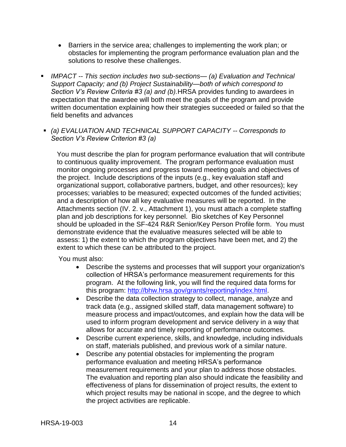- Barriers in the service area; challenges to implementing the work plan; or obstacles for implementing the program performance evaluation plan and the solutions to resolve these challenges.
- *IMPACT -- This section includes two sub-sections— (a) Evaluation and Technical Support Capacity; and (b) Project Sustainability—both of which correspond to Section V's Review Criteria #3 (a) and (b).*HRSA provides funding to awardees in expectation that the awardee will both meet the goals of the program and provide written documentation explaining how their strategies succeeded or failed so that the field benefits and advances
- *(a) EVALUATION AND TECHNICAL SUPPORT CAPACITY -- Corresponds to Section V's Review Criterion #3 (a)*

You must describe the plan for program performance evaluation that will contribute to continuous quality improvement. The program performance evaluation must monitor ongoing processes and progress toward meeting goals and objectives of the project. Include descriptions of the inputs (e.g., key evaluation staff and organizational support, collaborative partners, budget, and other resources); key processes; variables to be measured; expected outcomes of the funded activities; and a description of how all key evaluative measures will be reported. In the Attachments section (IV. 2. v., Attachment 1), you must attach a complete staffing plan and job descriptions for key personnel. Bio sketches of Key Personnel should be uploaded in the SF-424 R&R Senior/Key Person Profile form. You must demonstrate evidence that the evaluative measures selected will be able to assess: 1) the extent to which the program objectives have been met, and 2) the extent to which these can be attributed to the project.

You must also:

- Describe the systems and processes that will support your organization's collection of HRSA's performance measurement requirements for this program. At the following link, you will find the required data forms for this program: [http://bhw.hrsa.gov/grants/reporting/index.html.](http://bhw.hrsa.gov/grants/reporting/index.html)
- Describe the data collection strategy to collect, manage, analyze and track data (e.g., assigned skilled staff, data management software) to measure process and impact/outcomes, and explain how the data will be used to inform program development and service delivery in a way that allows for accurate and timely reporting of performance outcomes.
- Describe current experience, skills, and knowledge, including individuals on staff, materials published, and previous work of a similar nature.
- Describe any potential obstacles for implementing the program performance evaluation and meeting HRSA's performance measurement requirements and your plan to address those obstacles. The evaluation and reporting plan also should indicate the feasibility and effectiveness of plans for dissemination of project results, the extent to which project results may be national in scope, and the degree to which the project activities are replicable.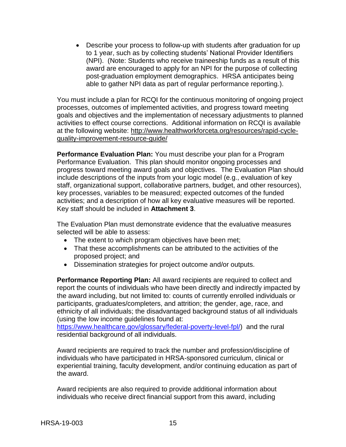Describe your process to follow-up with students after graduation for up to 1 year, such as by collecting students' National Provider Identifiers (NPI). (Note: Students who receive traineeship funds as a result of this award are encouraged to apply for an NPI for the purpose of collecting post-graduation employment demographics. HRSA anticipates being able to gather NPI data as part of regular performance reporting.).

You must include a plan for RCQI for the continuous monitoring of ongoing project processes, outcomes of implemented activities, and progress toward meeting goals and objectives and the implementation of necessary adjustments to planned activities to effect course corrections. Additional information on RCQI is available at the following website: [http://www.healthworkforceta.org/resources/rapid-cycle](http://www.healthworkforceta.org/resources/rapid-cycle-quality-improvement-resource-guide/)[quality-improvement-resource-guide/](http://www.healthworkforceta.org/resources/rapid-cycle-quality-improvement-resource-guide/)

**Performance Evaluation Plan:** You must describe your plan for a Program Performance Evaluation. This plan should monitor ongoing processes and progress toward meeting award goals and objectives. The Evaluation Plan should include descriptions of the inputs from your logic model (e.g., evaluation of key staff, organizational support, collaborative partners, budget, and other resources), key processes, variables to be measured; expected outcomes of the funded activities; and a description of how all key evaluative measures will be reported. Key staff should be included in **Attachment 3**.

The Evaluation Plan must demonstrate evidence that the evaluative measures selected will be able to assess:

- The extent to which program objectives have been met;
- That these accomplishments can be attributed to the activities of the proposed project; and
- Dissemination strategies for project outcome and/or outputs.

**Performance Reporting Plan:** All award recipients are required to collect and report the counts of individuals who have been directly and indirectly impacted by the award including, but not limited to: counts of currently enrolled individuals or participants, graduates/completers, and attrition; the gender, age, race, and ethnicity of all individuals; the disadvantaged background status of all individuals (using the low income guidelines found at:

[https://www.healthcare.gov/glossary/federal-poverty-level-fpl/\)](https://www.healthcare.gov/glossary/federal-poverty-level-fpl/) and the rural residential background of all individuals.

Award recipients are required to track the number and profession/discipline of individuals who have participated in HRSA-sponsored curriculum, clinical or experiential training, faculty development, and/or continuing education as part of the award.

Award recipients are also required to provide additional information about individuals who receive direct financial support from this award, including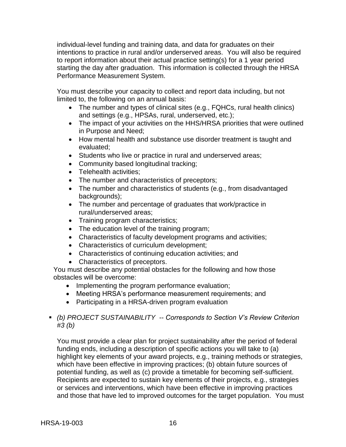individual-level funding and training data, and data for graduates on their intentions to practice in rural and/or underserved areas. You will also be required to report information about their actual practice setting(s) for a 1 year period starting the day after graduation. This information is collected through the HRSA Performance Measurement System.

You must describe your capacity to collect and report data including, but not limited to, the following on an annual basis:

- The number and types of clinical sites (e.g., FQHCs, rural health clinics) and settings (e.g., HPSAs, rural, underserved, etc.);
- The impact of your activities on the HHS/HRSA priorities that were outlined in Purpose and Need;
- How mental health and substance use disorder treatment is taught and evaluated;
- Students who live or practice in rural and underserved areas;
- Community based longitudinal tracking;
- Telehealth activities;
- The number and characteristics of preceptors;
- The number and characteristics of students (e.g., from disadvantaged backgrounds);
- The number and percentage of graduates that work/practice in rural/underserved areas;
- Training program characteristics;
- The education level of the training program;
- Characteristics of faculty development programs and activities;
- Characteristics of curriculum development;
- Characteristics of continuing education activities; and
- Characteristics of preceptors.

You must describe any potential obstacles for the following and how those obstacles will be overcome:

- Implementing the program performance evaluation;
- Meeting HRSA's performance measurement requirements; and
- Participating in a HRSA-driven program evaluation
- *(b) PROJECT SUSTAINABILITY -- Corresponds to Section V's Review Criterion #3 (b)*

You must provide a clear plan for project sustainability after the period of federal funding ends, including a description of specific actions you will take to (a) highlight key elements of your award projects, e.g., training methods or strategies, which have been effective in improving practices; (b) obtain future sources of potential funding, as well as (c) provide a timetable for becoming self-sufficient. Recipients are expected to sustain key elements of their projects, e.g., strategies or services and interventions, which have been effective in improving practices and those that have led to improved outcomes for the target population. You must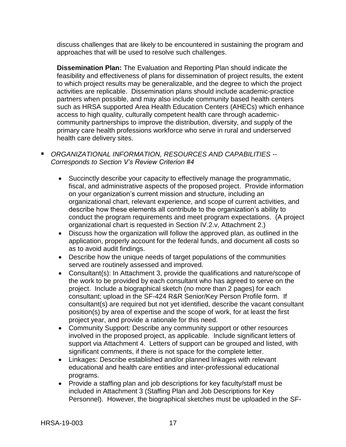discuss challenges that are likely to be encountered in sustaining the program and approaches that will be used to resolve such challenges.

**Dissemination Plan:** The Evaluation and Reporting Plan should indicate the feasibility and effectiveness of plans for dissemination of project results, the extent to which project results may be generalizable, and the degree to which the project activities are replicable. Dissemination plans should include academic-practice partners when possible, and may also include community based health centers such as HRSA supported Area Health Education Centers (AHECs) which enhance access to high quality, culturally competent health care through academiccommunity partnerships to improve the distribution, diversity, and supply of the primary care health professions workforce who serve in rural and underserved health care delivery sites.

- *ORGANIZATIONAL INFORMATION, RESOURCES AND CAPABILITIES -- Corresponds to Section V's Review Criterion #4*
	- Succinctly describe your capacity to effectively manage the programmatic, fiscal, and administrative aspects of the proposed project. Provide information on your organization's current mission and structure, including an organizational chart, relevant experience, and scope of current activities, and describe how these elements all contribute to the organization's ability to conduct the program requirements and meet program expectations. (A project organizational chart is requested in Section IV.2.v, Attachment 2.)
	- Discuss how the organization will follow the approved plan, as outlined in the application, properly account for the federal funds, and document all costs so as to avoid audit findings.
	- Describe how the unique needs of target populations of the communities served are routinely assessed and improved.
	- Consultant(s): In Attachment 3, provide the qualifications and nature/scope of the work to be provided by each consultant who has agreed to serve on the project. Include a biographical sketch (no more than 2 pages) for each consultant; upload in the SF-424 R&R Senior/Key Person Profile form. If consultant(s) are required but not yet identified, describe the vacant consultant position(s) by area of expertise and the scope of work, for at least the first project year, and provide a rationale for this need.
	- Community Support: Describe any community support or other resources involved in the proposed project, as applicable. Include significant letters of support via Attachment 4. Letters of support can be grouped and listed, with significant comments, if there is not space for the complete letter.
	- Linkages: Describe established and/or planned linkages with relevant educational and health care entities and inter-professional educational programs.
	- Provide a staffing plan and job descriptions for key faculty/staff must be included in Attachment 3 (Staffing Plan and Job Descriptions for Key Personnel). However, the biographical sketches must be uploaded in the SF-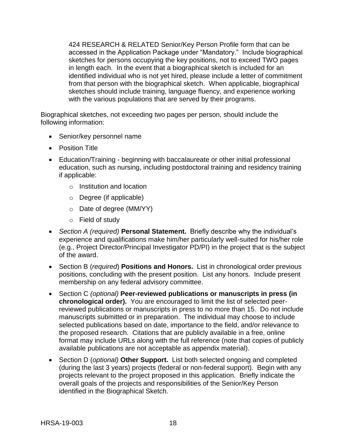424 RESEARCH & RELATED Senior/Key Person Profile form that can be accessed in the Application Package under "Mandatory." Include biographical sketches for persons occupying the key positions, not to exceed TWO pages in length each. In the event that a biographical sketch is included for an identified individual who is not yet hired, please include a letter of commitment from that person with the biographical sketch. When applicable, biographical sketches should include training, language fluency, and experience working with the various populations that are served by their programs.

Biographical sketches, not exceeding two pages per person, should include the following information:

- Senior/key personnel name
- Position Title
- Education/Training beginning with baccalaureate or other initial professional education, such as nursing, including postdoctoral training and residency training if applicable:
	- o Institution and location
	- o Degree (if applicable)
	- o Date of degree (MM/YY)
	- o Field of study
- *Section A (required)* **Personal Statement.** Briefly describe why the individual's experience and qualifications make him/her particularly well-suited for his/her role (e.g., Project Director/Principal Investigator PD/PI) in the project that is the subject of the award.
- Section B (*required*) **Positions and Honors.** List in chronological order previous positions, concluding with the present position. List any honors. Include present membership on any federal advisory committee.
- Section C *(optional)* **Peer-reviewed publications or manuscripts in press (in chronological order).** You are encouraged to limit the list of selected peerreviewed publications or manuscripts in press to no more than 15. Do not include manuscripts submitted or in preparation. The individual may choose to include selected publications based on date, importance to the field, and/or relevance to the proposed research. Citations that are publicly available in a free, online format may include URLs along with the full reference (note that copies of publicly available publications are not acceptable as appendix material).
- Section D (*optional)* **Other Support.** List both selected ongoing and completed (during the last 3 years) projects (federal or non-federal support). Begin with any projects relevant to the project proposed in this application. Briefly indicate the overall goals of the projects and responsibilities of the Senior/Key Person identified in the Biographical Sketch.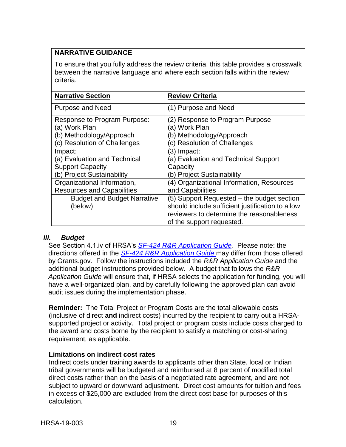# **NARRATIVE GUIDANCE**

To ensure that you fully address the review criteria, this table provides a crosswalk between the narrative language and where each section falls within the review criteria.

| <b>Narrative Section</b>           | <b>Review Criteria</b>                           |
|------------------------------------|--------------------------------------------------|
| <b>Purpose and Need</b>            | (1) Purpose and Need                             |
| Response to Program Purpose:       | (2) Response to Program Purpose                  |
| (a) Work Plan                      | (a) Work Plan                                    |
| (b) Methodology/Approach           | (b) Methodology/Approach                         |
| (c) Resolution of Challenges       | (c) Resolution of Challenges                     |
| Impact:                            | (3) Impact:                                      |
| (a) Evaluation and Technical       | (a) Evaluation and Technical Support             |
| <b>Support Capacity</b>            | Capacity                                         |
| (b) Project Sustainability         | (b) Project Sustainability                       |
| Organizational Information,        | (4) Organizational Information, Resources        |
| <b>Resources and Capabilities</b>  | and Capabilities                                 |
| <b>Budget and Budget Narrative</b> | (5) Support Requested – the budget section       |
| (below)                            | should include sufficient justification to allow |
|                                    | reviewers to determine the reasonableness        |
|                                    | of the support requested.                        |

## <span id="page-22-0"></span>*iii. Budget*

See Section 4.1.iv of HRSA's *SF-424 R&R [Application Guide.](http://www.hrsa.gov/grants/apply/applicationguide/sf424rrguidev2.pdf)* Please note: the directions offered in the *SF-424 R&R [Application Guide](http://www.hrsa.gov/grants/apply/applicationguide/sf424rrguidev2.pdf)* may differ from those offered by Grants.gov. Follow the instructions included the *R&R Application Guide* and the additional budget instructions provided below. A budget that follows the *R&R Application Guide* will ensure that, if HRSA selects the application for funding, you will have a well-organized plan, and by carefully following the approved plan can avoid audit issues during the implementation phase.

**Reminder:** The Total Project or Program Costs are the total allowable costs (inclusive of direct **and** indirect costs) incurred by the recipient to carry out a HRSAsupported project or activity. Total project or program costs include costs charged to the award and costs borne by the recipient to satisfy a matching or cost-sharing requirement, as applicable.

#### **Limitations on indirect cost rates**

Indirect costs under training awards to applicants other than State, local or Indian tribal governments will be budgeted and reimbursed at 8 percent of modified total direct costs rather than on the basis of a negotiated rate agreement, and are not subject to upward or downward adjustment. Direct cost amounts for tuition and fees in excess of \$25,000 are excluded from the direct cost base for purposes of this calculation.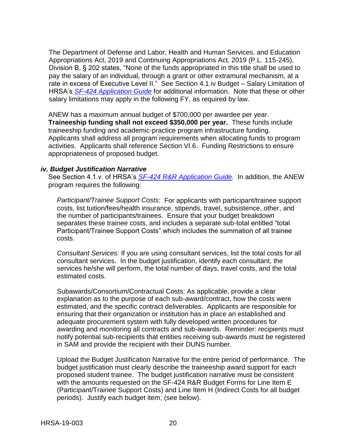The Department of Defense and Labor, Health and Human Services, and Education Appropriations Act, 2019 and Continuing Appropriations Act, 2019 (P.L. 115-245), Division B, § 202 states, "None of the funds appropriated in this title shall be used to pay the salary of an individual, through a grant or other extramural mechanism, at a rate in excess of Executive Level II." See Section 4.1.iv Budget – Salary Limitation of HRSA's *SF-424 [Application Guide](http://www.hrsa.gov/grants/apply/applicationguide/sf424guide.pdf)* for additional information. Note that these or other salary limitations may apply in the following FY, as required by law.

ANEW has a maximum annual budget of \$700,000 per awardee per year. **Traineeship funding shall not exceed \$350,000 per year.** These funds include traineeship funding and academic-practice program infrastructure funding. Applicants shall address all program requirements when allocating funds to program activities. Applicants shall reference Section VI.6. Funding Restrictions to ensure appropriateness of proposed budget.

#### <span id="page-23-0"></span>*iv. Budget Justification Narrative*

See Section 4.1.v. of HRSA's *SF-424 R&R [Application Guide.](http://www.hrsa.gov/grants/apply/applicationguide/sf424rrguidev2.pdf)* In addition, the ANEW program requires the following:

*Participant/Trainee Support Costs*: For applicants with participant/trainee support costs, list tuition/fees/health insurance, stipends, travel, subsistence, other, and the number of participants/trainees. Ensure that your budget breakdown separates these trainee costs, and includes a separate sub-total entitled "total Participant/Trainee Support Costs" which includes the summation of all trainee costs.

*Consultant Services:* If you are using consultant services, list the total costs for all consultant services. In the budget justification, identify each consultant, the services he/she will perform, the total number of days, travel costs, and the total estimated costs.

Subawards/Consortium/Contractual Costs: As applicable, provide a clear explanation as to the purpose of each sub-award/contract, how the costs were estimated, and the specific contract deliverables. Applicants are responsible for ensuring that their organization or institution has in place an established and adequate procurement system with fully developed written procedures for awarding and monitoring all contracts and sub-awards. Reminder: recipients must notify potential sub-recipients that entities receiving sub-awards must be registered in SAM and provide the recipient with their DUNS number.

Upload the Budget Justification Narrative for the entire period of performance. The budget justification must clearly describe the traineeship award support for each proposed student trainee. The budget justification narrative must be consistent with the amounts requested on the SF-424 R&R Budget Forms for Line Item E (Participant/Trainee Support Costs) and Line Item H (Indirect Costs for all budget periods). Justify each budget item; (see below).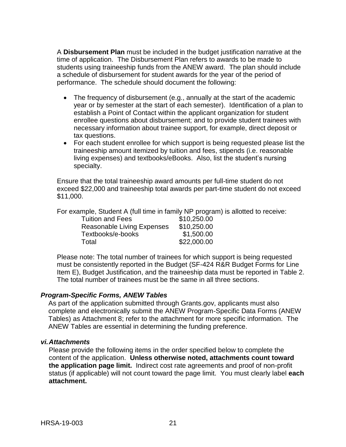A **Disbursement Plan** must be included in the budget justification narrative at the time of application. The Disbursement Plan refers to awards to be made to students using traineeship funds from the ANEW award. The plan should include a schedule of disbursement for student awards for the year of the period of performance. The schedule should document the following:

- The frequency of disbursement (e.g., annually at the start of the academic year or by semester at the start of each semester). Identification of a plan to establish a Point of Contact within the applicant organization for student enrollee questions about disbursement; and to provide student trainees with necessary information about trainee support, for example, direct deposit or tax questions.
- For each student enrollee for which support is being requested please list the traineeship amount itemized by tuition and fees, stipends (i.e. reasonable living expenses) and textbooks/eBooks. Also, list the student's nursing specialty.

Ensure that the total traineeship award amounts per full-time student do not exceed \$22,000 and traineeship total awards per part-time student do not exceed \$11,000.

For example, Student A (full time in family NP program) is allotted to receive:

| <b>Tuition and Fees</b>           | \$10,250.00 |
|-----------------------------------|-------------|
| <b>Reasonable Living Expenses</b> | \$10,250.00 |
| Textbooks/e-books                 | \$1,500.00  |
| Total                             | \$22,000.00 |

Please note: The total number of trainees for which support is being requested must be consistently reported in the Budget (SF-424 R&R Budget Forms for Line Item E), Budget Justification, and the traineeship data must be reported in Table 2. The total number of trainees must be the same in all three sections.

#### <span id="page-24-0"></span>*Program-Specific Forms, ANEW Tables*

As part of the application submitted through Grants.gov, applicants must also complete and electronically submit the ANEW Program-Specific Data Forms (ANEW Tables) as Attachment 8; refer to the attachment for more specific information. The ANEW Tables are essential in determining the funding preference.

#### <span id="page-24-1"></span>*vi.Attachments*

Please provide the following items in the order specified below to complete the content of the application. **Unless otherwise noted, attachments count toward the application page limit.** Indirect cost rate agreements and proof of non-profit status (if applicable) will not count toward the page limit. You must clearly label **each attachment.**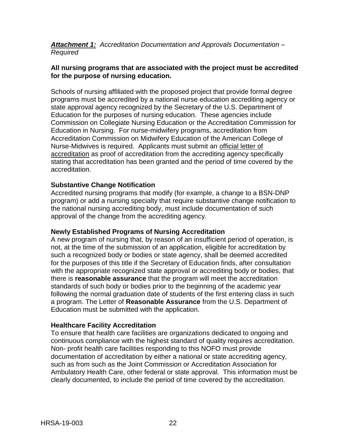*Attachment 1: Accreditation Documentation and Approvals Documentation – Required*

### **All nursing programs that are associated with the project must be accredited for the purpose of nursing education.**

Schools of nursing affiliated with the proposed project that provide formal degree programs must be accredited by a national nurse education accrediting agency or state approval agency recognized by the Secretary of the U.S. Department of Education for the purposes of nursing education. These agencies include Commission on Collegiate Nursing Education or the Accreditation Commission for Education in Nursing. For nurse-midwifery programs, accreditation from Accreditation Commission on Midwifery Education of the American College of Nurse-Midwives is required. Applicants must submit an official letter of accreditation as proof of accreditation from the accrediting agency specifically stating that accreditation has been granted and the period of time covered by the accreditation.

### **Substantive Change Notification**

Accredited nursing programs that modify (for example, a change to a BSN-DNP program) or add a nursing specialty that require substantive change notification to the national nursing accrediting body, must include documentation of such approval of the change from the accrediting agency.

#### **Newly Established Programs of Nursing Accreditation**

A new program of nursing that, by reason of an insufficient period of operation, is not, at the time of the submission of an application, eligible for accreditation by such a recognized body or bodies or state agency, shall be deemed accredited for the purposes of this title if the Secretary of Education finds, after consultation with the appropriate recognized state approval or accrediting body or bodies, that there is **reasonable assurance** that the program will meet the accreditation standards of such body or bodies prior to the beginning of the academic year following the normal graduation date of students of the first entering class in such a program. The Letter of **Reasonable Assurance** from the U.S. Department of Education must be submitted with the application.

## **Healthcare Facility Accreditation**

To ensure that health care facilities are organizations dedicated to ongoing and continuous compliance with the highest standard of quality requires accreditation. Non- profit health care facilities responding to this NOFO must provide documentation of accreditation by either a national or state accrediting agency, such as from such as the Joint Commission or Accreditation Association for Ambulatory Health Care, other federal or state approval. This information must be clearly documented, to include the period of time covered by the accreditation.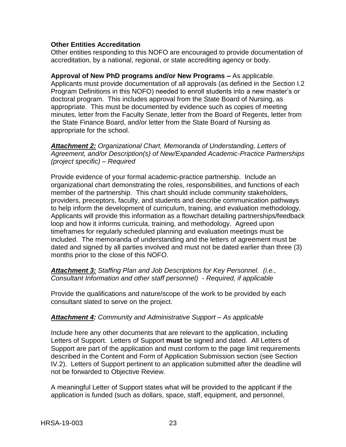#### **Other Entities Accreditation**

Other entities responding to this NOFO are encouraged to provide documentation of accreditation, by a national, regional, or state accrediting agency or body.

**Approval of New PhD programs and/or New Programs –** As applicable. Applicants must provide documentation of all approvals (as defined in the Section I.2 Program Definitions in this NOFO) needed to enroll students into a new master's or doctoral program. This includes approval from the State Board of Nursing, as appropriate. This must be documented by evidence such as copies of meeting minutes, letter from the Faculty Senate, letter from the Board of Regents, letter from the State Finance Board, and/or letter from the State Board of Nursing as appropriate for the school.

*Attachment 2: Organizational Chart, Memoranda of Understanding, Letters of Agreement, and/or Description(s) of New/Expanded Academic-Practice Partnerships (project specific) – Required*

Provide evidence of your formal academic-practice partnership. Include an organizational chart demonstrating the roles, responsibilities, and functions of each member of the partnership. This chart should include community stakeholders, providers, preceptors, faculty, and students and describe communication pathways to help inform the development of curriculum, training, and evaluation methodology. Applicants will provide this information as a flowchart detailing partnerships/feedback loop and how it informs curricula, training, and methodology. Agreed upon timeframes for regularly scheduled planning and evaluation meetings must be included. The memoranda of understanding and the letters of agreement must be dated and signed by all parties involved and must not be dated earlier than three (3) months prior to the close of this NOFO.

*Attachment 3: Staffing Plan and Job Descriptions for Key Personnel. (i.e., Consultant Information and other staff personnel) - Required, if applicable*

Provide the qualifications and nature/scope of the work to be provided by each consultant slated to serve on the project.

#### *Attachment 4: Community and Administrative Support – As applicable*

Include here any other documents that are relevant to the application, including Letters of Support. Letters of Support **must** be signed and dated. All Letters of Support are part of the application and must conform to the page limit requirements described in the Content and Form of Application Submission section (see Section IV.2). Letters of Support pertinent to an application submitted after the deadline will not be forwarded to Objective Review.

A meaningful Letter of Support states what will be provided to the applicant if the application is funded (such as dollars, space, staff, equipment, and personnel,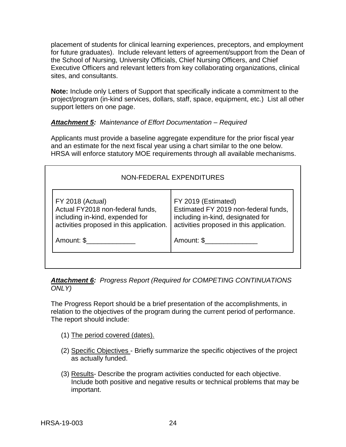placement of students for clinical learning experiences, preceptors, and employment for future graduates). Include relevant letters of agreement/support from the Dean of the School of Nursing, University Officials, Chief Nursing Officers, and Chief Executive Officers and relevant letters from key collaborating organizations, clinical sites, and consultants.

**Note:** Include only Letters of Support that specifically indicate a commitment to the project/program (in-kind services, dollars, staff, space, equipment, etc.) List all other support letters on one page.

# *Attachment 5: Maintenance of Effort Documentation – Required*

Applicants must provide a baseline aggregate expenditure for the prior fiscal year and an estimate for the next fiscal year using a chart similar to the one below. HRSA will enforce statutory MOE requirements through all available mechanisms.

| NON-FEDERAL EXPENDITURES                                                                                                                   |                                                                                                                                              |  |  |  |  |  |  |
|--------------------------------------------------------------------------------------------------------------------------------------------|----------------------------------------------------------------------------------------------------------------------------------------------|--|--|--|--|--|--|
| <b>FY 2018 (Actual)</b><br>Actual FY2018 non-federal funds,<br>including in-kind, expended for<br>activities proposed in this application. | FY 2019 (Estimated)<br>Estimated FY 2019 non-federal funds,<br>including in-kind, designated for<br>activities proposed in this application. |  |  |  |  |  |  |
| Amount: \$                                                                                                                                 | Amount: \$                                                                                                                                   |  |  |  |  |  |  |

*Attachment 6: Progress Report (Required for COMPETING CONTINUATIONS ONLY)*

The Progress Report should be a brief presentation of the accomplishments, in relation to the objectives of the program during the current period of performance. The report should include:

- (1) The period covered (dates).
- (2) Specific Objectives Briefly summarize the specific objectives of the project as actually funded.
- (3) Results- Describe the program activities conducted for each objective. Include both positive and negative results or technical problems that may be important.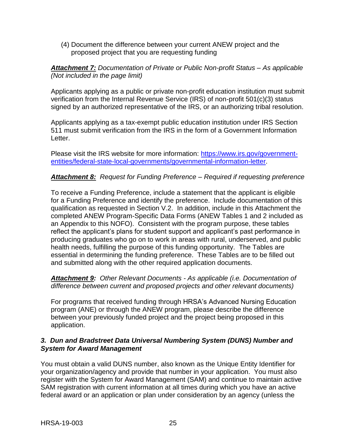(4) Document the difference between your current ANEW project and the proposed project that you are requesting funding

*Attachment 7: Documentation of Private or Public Non-profit Status – As applicable (Not included in the page limit)*

Applicants applying as a public or private non-profit education institution must submit verification from the Internal Revenue Service (IRS) of non-profit 501(c)(3) status signed by an authorized representative of the IRS, or an authorizing tribal resolution.

Applicants applying as a tax-exempt public education institution under IRS Section 511 must submit verification from the IRS in the form of a Government Information Letter.

Please visit the IRS website for more information: [https://www.irs.gov/government](https://www.irs.gov/government-entities/federal-state-local-governments/governmental-information-letter)[entities/federal-state-local-governments/governmental-information-letter.](https://www.irs.gov/government-entities/federal-state-local-governments/governmental-information-letter)

## *Attachment 8: Request for Funding Preference – Required if requesting preference*

To receive a Funding Preference, include a statement that the applicant is eligible for a Funding Preference and identify the preference. Include documentation of this qualification as requested in Section V.2. In addition, include in this Attachment the completed ANEW Program-Specific Data Forms (ANEW Tables 1 and 2 included as an Appendix to this NOFO). Consistent with the program purpose, these tables reflect the applicant's plans for student support and applicant's past performance in producing graduates who go on to work in areas with rural, underserved, and public health needs, fulfilling the purpose of this funding opportunity. The Tables are essential in determining the funding preference. These Tables are to be filled out and submitted along with the other required application documents.

*Attachment 9: Other Relevant Documents - As applicable (i.e. Documentation of difference between current and proposed projects and other relevant documents)*

For programs that received funding through HRSA's Advanced Nursing Education program (ANE) or through the ANEW program, please describe the difference between your previously funded project and the project being proposed in this application.

## <span id="page-28-0"></span>*3. Dun and Bradstreet Data Universal Numbering System (DUNS) Number and System for Award Management*

You must obtain a valid DUNS number, also known as the Unique Entity Identifier for your organization/agency and provide that number in your application. You must also register with the System for Award Management (SAM) and continue to maintain active SAM registration with current information at all times during which you have an active federal award or an application or plan under consideration by an agency (unless the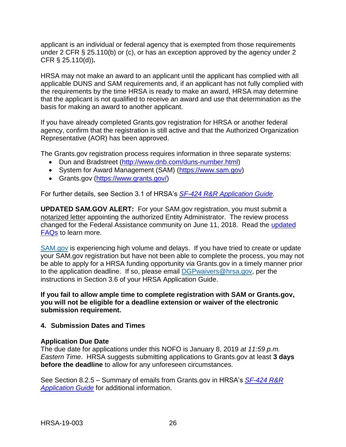applicant is an individual or federal agency that is exempted from those requirements under 2 CFR § 25.110(b) or (c), or has an exception approved by the agency under 2 CFR § 25.110(d))**.**

HRSA may not make an award to an applicant until the applicant has complied with all applicable DUNS and SAM requirements and, if an applicant has not fully complied with the requirements by the time HRSA is ready to make an award, HRSA may determine that the applicant is not qualified to receive an award and use that determination as the basis for making an award to another applicant.

If you have already completed Grants.gov registration for HRSA or another federal agency, confirm that the registration is still active and that the Authorized Organization Representative (AOR) has been approved.

The Grants.gov registration process requires information in three separate systems:

- Dun and Bradstreet [\(http://www.dnb.com/duns-number.html\)](http://www.dnb.com/duns-number.html)
- System for Award Management (SAM) [\(https://www.sam.gov\)](https://www.sam.gov/)
- Grants.gov [\(https://www.grants.gov/\)](https://www.grants.gov/)

For further details, see Section 3.1 of HRSA's *SF-424 R&R [Application Guide.](http://www.hrsa.gov/grants/apply/applicationguide/sf424rrguidev2.pdf)*

**UPDATED SAM.GOV ALERT:** For your SAM.gov registration, you must submit a notarized letter appointing the authorized Entity Administrator. The review process changed for the Federal Assistance community on June 11, 2018. Read the [updated](https://www.gsa.gov/about-us/organization/federal-acquisition-service/office-of-systems-management/integrated-award-environment-iae/sam-update)  [FAQs](https://www.gsa.gov/about-us/organization/federal-acquisition-service/office-of-systems-management/integrated-award-environment-iae/sam-update) to learn more.

[SAM.gov](https://sam.gov/portal/SAM/) is experiencing high volume and delays. If you have tried to create or update your SAM.gov registration but have not been able to complete the process, you may not be able to apply for a HRSA funding opportunity via Grants.gov in a timely manner prior to the application deadline. If so, please email [DGPwaivers@hrsa.gov,](mailto:DGPwaivers@hrsa.gov) per the instructions in Section 3.6 of your HRSA Application Guide.

**If you fail to allow ample time to complete registration with SAM or Grants.gov, you will not be eligible for a deadline extension or waiver of the electronic submission requirement.**

#### <span id="page-29-0"></span>**4. Submission Dates and Times**

#### **Application Due Date**

The due date for applications under this NOFO is January 8, 2019 *at 11:59 p.m. Eastern Time*. HRSA suggests submitting applications to Grants.gov at least **3 days before the deadline** to allow for any unforeseen circumstances.

See Section 8.2.5 – Summary of emails from Grants.gov in HRSA's *[SF-424](http://www.hrsa.gov/grants/apply/applicationguide/sf424rrguidev2.pdf) R&R [Application Guide](http://www.hrsa.gov/grants/apply/applicationguide/sf424rrguidev2.pdf)* for additional information.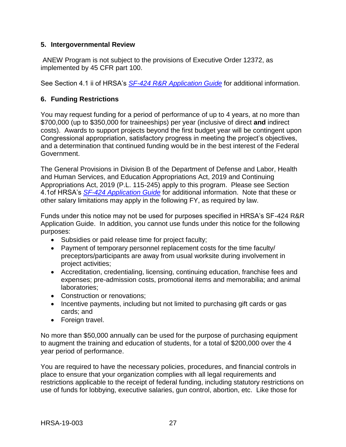### <span id="page-30-0"></span>**5. Intergovernmental Review**

ANEW Program is not subject to the provisions of Executive Order 12372, as implemented by 45 CFR part 100.

See Section 4.1 ii of HRSA's *SF-424 R&R [Application Guide](http://www.hrsa.gov/grants/apply/applicationguide/sf424rrguidev2.pdf)* for additional information.

## <span id="page-30-1"></span>**6. Funding Restrictions**

You may request funding for a period of performance of up to 4 years, at no more than \$700,000 (up to \$350,000 for traineeships) per year (inclusive of direct **and** indirect costs). Awards to support projects beyond the first budget year will be contingent upon Congressional appropriation, satisfactory progress in meeting the project's objectives, and a determination that continued funding would be in the best interest of the Federal Government.

The General Provisions in Division B of the Department of Defense and Labor, Health and Human Services, and Education Appropriations Act, 2019 and Continuing Appropriations Act, 2019 (P.L. 115-245) apply to this program. Please see Section 4.1of HRSA's *SF-424 [Application Guide](http://www.hrsa.gov/grants/apply/applicationguide/sf424guide.pdf)* for additional information. Note that these or other salary limitations may apply in the following FY, as required by law.

Funds under this notice may not be used for purposes specified in HRSA's SF-424 R&R Application Guide. In addition, you cannot use funds under this notice for the following purposes:

- Subsidies or paid release time for project faculty;
- Payment of temporary personnel replacement costs for the time faculty/ preceptors/participants are away from usual worksite during involvement in project activities;
- Accreditation, credentialing, licensing, continuing education, franchise fees and expenses; pre-admission costs, promotional items and memorabilia; and animal laboratories;
- Construction or renovations:
- Incentive payments, including but not limited to purchasing gift cards or gas cards; and
- Foreign travel.

No more than \$50,000 annually can be used for the purpose of purchasing equipment to augment the training and education of students, for a total of \$200,000 over the 4 year period of performance.

You are required to have the necessary policies, procedures, and financial controls in place to ensure that your organization complies with all legal requirements and restrictions applicable to the receipt of federal funding, including statutory restrictions on use of funds for lobbying, executive salaries, gun control, abortion, etc. Like those for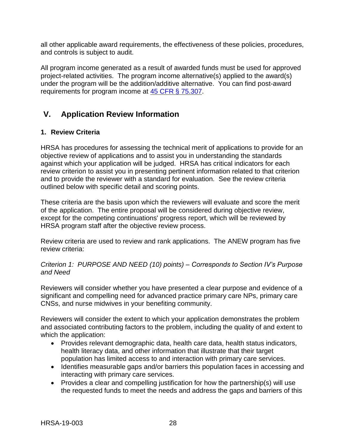all other applicable award requirements, the effectiveness of these policies, procedures, and controls is subject to audit.

All program income generated as a result of awarded funds must be used for approved project-related activities. The program income alternative(s) applied to the award(s) under the program will be the addition/additive alternative. You can find post-award requirements for program income at [45 CFR § 75.307.](http://www.ecfr.gov/cgi-bin/retrieveECFR?gp=1&SID=4d52364ec83fab994c665943dadf9cf7&ty=HTML&h=L&r=PART&n=pt45.1.75#se45.1.75_1307)

# <span id="page-31-0"></span>**V. Application Review Information**

## <span id="page-31-1"></span>**1. Review Criteria**

HRSA has procedures for assessing the technical merit of applications to provide for an objective review of applications and to assist you in understanding the standards against which your application will be judged. HRSA has critical indicators for each review criterion to assist you in presenting pertinent information related to that criterion and to provide the reviewer with a standard for evaluation. See the review criteria outlined below with specific detail and scoring points.

These criteria are the basis upon which the reviewers will evaluate and score the merit of the application. The entire proposal will be considered during objective review, except for the competing continuations' progress report, which will be reviewed by HRSA program staff after the objective review process.

Review criteria are used to review and rank applications. The ANEW program has five review criteria:

### *Criterion 1: PURPOSE AND NEED (10) points) – Corresponds to Section IV's Purpose and Need*

Reviewers will consider whether you have presented a clear purpose and evidence of a significant and compelling need for advanced practice primary care NPs, primary care CNSs, and nurse midwives in your benefiting community.

Reviewers will consider the extent to which your application demonstrates the problem and associated contributing factors to the problem, including the quality of and extent to which the application:

- Provides relevant demographic data, health care data, health status indicators, health literacy data, and other information that illustrate that their target population has limited access to and interaction with primary care services.
- Identifies measurable gaps and/or barriers this population faces in accessing and interacting with primary care services.
- Provides a clear and compelling justification for how the partnership(s) will use the requested funds to meet the needs and address the gaps and barriers of this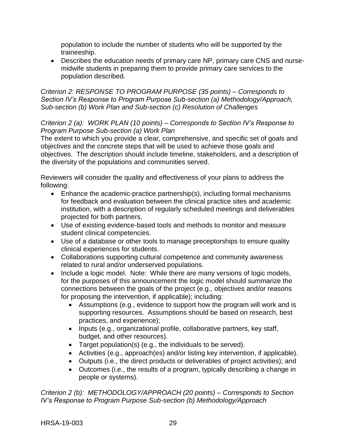population to include the number of students who will be supported by the traineeship.

 Describes the education needs of primary care NP, primary care CNS and nursemidwife students in preparing them to provide primary care services to the population described.

*Criterion 2: RESPONSE TO PROGRAM PURPOSE (35 points) – Corresponds to Section IV's Response to Program Purpose Sub-section (a) Methodology/Approach, Sub-section (b) Work Plan and Sub-section (c) Resolution of Challenges*

### *Criterion 2 (a): WORK PLAN (10 points) – Corresponds to Section IV's Response to Program Purpose Sub-section (a) Work Plan*

The extent to which you provide a clear, comprehensive, and specific set of goals and objectives and the concrete steps that will be used to achieve those goals and objectives. The description should include timeline, stakeholders, and a description of the diversity of the populations and communities served.

Reviewers will consider the quality and effectiveness of your plans to address the following:

- Enhance the academic-practice partnership(s), including formal mechanisms for feedback and evaluation between the clinical practice sites and academic institution, with a description of regularly scheduled meetings and deliverables projected for both partners.
- Use of existing evidence-based tools and methods to monitor and measure student clinical competencies.
- Use of a database or other tools to manage preceptorships to ensure quality clinical experiences for students.
- Collaborations supporting cultural competence and community awareness related to rural and/or underserved populations.
- Include a logic model. Note: While there are many versions of logic models, for the purposes of this announcement the logic model should summarize the connections between the goals of the project (e.g., objectives and/or reasons for proposing the intervention, if applicable); including:
	- Assumptions (e.g., evidence to support how the program will work and is supporting resources. Assumptions should be based on research, best practices, and experience);
	- Inputs (e.g., organizational profile, collaborative partners, key staff, budget, and other resources).
	- Target population(s) (e.g., the individuals to be served).
	- Activities (e.g., approach(es) and/or listing key intervention, if applicable).
	- Outputs (i.e., the direct products or deliverables of project activities); and
	- Outcomes (i.e., the results of a program, typically describing a change in people or systems).

*Criterion 2 (b): METHODOLOGY/APPROACH (20 points) – Corresponds to Section IV's Response to Program Purpose Sub-section (b) Methodology/Approach*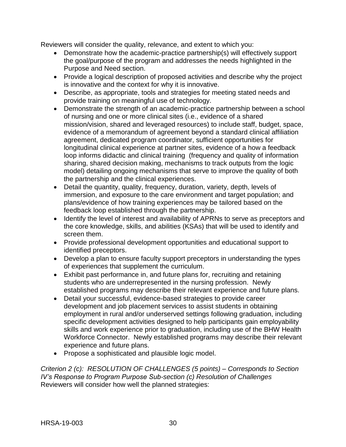Reviewers will consider the quality, relevance, and extent to which you:

- Demonstrate how the academic-practice partnership(s) will effectively support the goal/purpose of the program and addresses the needs highlighted in the Purpose and Need section.
- Provide a logical description of proposed activities and describe why the project is innovative and the context for why it is innovative.
- Describe, as appropriate, tools and strategies for meeting stated needs and provide training on meaningful use of technology.
- Demonstrate the strength of an academic-practice partnership between a school of nursing and one or more clinical sites (i.e., evidence of a shared mission/vision, shared and leveraged resources) to include staff, budget, space, evidence of a memorandum of agreement beyond a standard clinical affiliation agreement, dedicated program coordinator, sufficient opportunities for longitudinal clinical experience at partner sites, evidence of a how a feedback loop informs didactic and clinical training (frequency and quality of information sharing, shared decision making, mechanisms to track outputs from the logic model) detailing ongoing mechanisms that serve to improve the quality of both the partnership and the clinical experiences.
- Detail the quantity, quality, frequency, duration, variety, depth, levels of immersion, and exposure to the care environment and target population; and plans/evidence of how training experiences may be tailored based on the feedback loop established through the partnership.
- Identify the level of interest and availability of APRNs to serve as preceptors and the core knowledge, skills, and abilities (KSAs) that will be used to identify and screen them.
- Provide professional development opportunities and educational support to identified preceptors.
- Develop a plan to ensure faculty support preceptors in understanding the types of experiences that supplement the curriculum.
- Exhibit past performance in, and future plans for, recruiting and retaining students who are underrepresented in the nursing profession. Newly established programs may describe their relevant experience and future plans.
- Detail your successful, evidence-based strategies to provide career development and job placement services to assist students in obtaining employment in rural and/or underserved settings following graduation, including specific development activities designed to help participants gain employability skills and work experience prior to graduation, including use of the BHW Health Workforce Connector. Newly established programs may describe their relevant experience and future plans.
- Propose a sophisticated and plausible logic model.

*Criterion 2 (c): RESOLUTION OF CHALLENGES (5 points) – Corresponds to Section IV's Response to Program Purpose Sub-section (c) Resolution of Challenges* Reviewers will consider how well the planned strategies: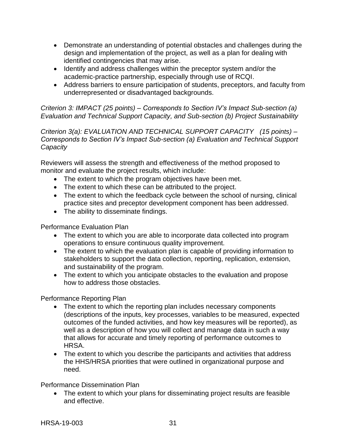- Demonstrate an understanding of potential obstacles and challenges during the design and implementation of the project, as well as a plan for dealing with identified contingencies that may arise.
- Identify and address challenges within the preceptor system and/or the academic-practice partnership, especially through use of RCQI.
- Address barriers to ensure participation of students, preceptors, and faculty from underrepresented or disadvantaged backgrounds.

### *Criterion 3: IMPACT (25 points) – Corresponds to Section IV's Impact Sub-section (a) Evaluation and Technical Support Capacity, and Sub-section (b) Project Sustainability*

*Criterion 3(a): EVALUATION AND TECHNICAL SUPPORT CAPACITY (15 points) – Corresponds to Section IV's Impact Sub-section (a) Evaluation and Technical Support Capacity* 

Reviewers will assess the strength and effectiveness of the method proposed to monitor and evaluate the project results, which include:

- The extent to which the program objectives have been met.
- The extent to which these can be attributed to the project.
- The extent to which the feedback cycle between the school of nursing, clinical practice sites and preceptor development component has been addressed.
- The ability to disseminate findings.

#### Performance Evaluation Plan

- The extent to which you are able to incorporate data collected into program operations to ensure continuous quality improvement.
- The extent to which the evaluation plan is capable of providing information to stakeholders to support the data collection, reporting, replication, extension, and sustainability of the program.
- The extent to which you anticipate obstacles to the evaluation and propose how to address those obstacles.

## Performance Reporting Plan

- The extent to which the reporting plan includes necessary components (descriptions of the inputs, key processes, variables to be measured, expected outcomes of the funded activities, and how key measures will be reported), as well as a description of how you will collect and manage data in such a way that allows for accurate and timely reporting of performance outcomes to HRSA.
- The extent to which you describe the participants and activities that address the HHS/HRSA priorities that were outlined in organizational purpose and need.

## Performance Dissemination Plan

 The extent to which your plans for disseminating project results are feasible and effective.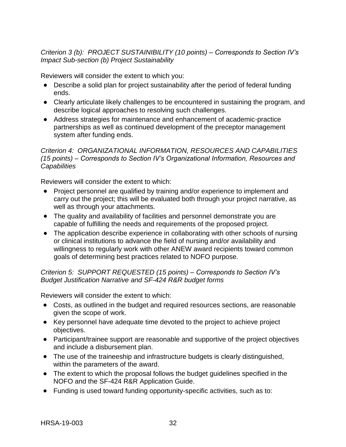## *Criterion 3 (b): PROJECT SUSTAINIBILITY (10 points) – Corresponds to Section IV's Impact Sub-section (b) Project Sustainability*

Reviewers will consider the extent to which you:

- Describe a solid plan for project sustainability after the period of federal funding ends.
- Clearly articulate likely challenges to be encountered in sustaining the program, and describe logical approaches to resolving such challenges.
- Address strategies for maintenance and enhancement of academic-practice partnerships as well as continued development of the preceptor management system after funding ends.

### *Criterion 4: ORGANIZATIONAL INFORMATION, RESOURCES AND CAPABILITIES (15 points) – Corresponds to Section IV's Organizational Information, Resources and Capabilities*

Reviewers will consider the extent to which:

- Project personnel are qualified by training and/or experience to implement and carry out the project; this will be evaluated both through your project narrative, as well as through your attachments.
- The quality and availability of facilities and personnel demonstrate you are capable of fulfilling the needs and requirements of the proposed project.
- The application describe experience in collaborating with other schools of nursing or clinical institutions to advance the field of nursing and/or availability and willingness to regularly work with other ANEW award recipients toward common goals of determining best practices related to NOFO purpose.

### *Criterion 5: SUPPORT REQUESTED (15 points) – Corresponds to Section IV's Budget Justification Narrative and SF-424 R&R budget forms*

Reviewers will consider the extent to which:

- Costs, as outlined in the budget and required resources sections, are reasonable given the scope of work.
- Key personnel have adequate time devoted to the project to achieve project objectives.
- Participant/trainee support are reasonable and supportive of the project objectives and include a disbursement plan.
- The use of the traineeship and infrastructure budgets is clearly distinguished, within the parameters of the award.
- The extent to which the proposal follows the budget guidelines specified in the NOFO and the SF-424 R&R Application Guide.
- Funding is used toward funding opportunity-specific activities, such as to: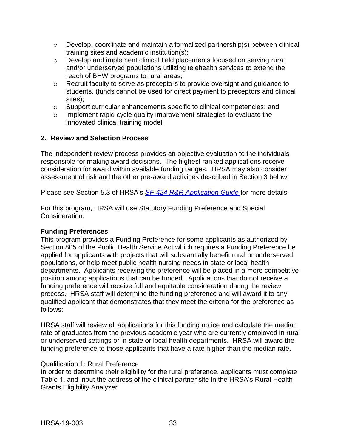- o Develop, coordinate and maintain a formalized partnership(s) between clinical training sites and academic institution(s);
- o Develop and implement clinical field placements focused on serving rural and/or underserved populations utilizing telehealth services to extend the reach of BHW programs to rural areas;
- o Recruit faculty to serve as preceptors to provide oversight and guidance to students, (funds cannot be used for direct payment to preceptors and clinical sites);
- $\circ$  Support curricular enhancements specific to clinical competencies; and
- o Implement rapid cycle quality improvement strategies to evaluate the innovated clinical training model.

#### <span id="page-36-0"></span>**2. Review and Selection Process**

The independent review process provides an objective evaluation to the individuals responsible for making award decisions. The highest ranked applications receive consideration for award within available funding ranges. HRSA may also consider assessment of risk and the other pre-award activities described in Section 3 below.

Please see Section 5.3 of HRSA's *SF-424 [R&R Application Guide](http://www.hrsa.gov/grants/apply/applicationguide/sf424rrguidev2.pdf)* for more details.

For this program, HRSA will use Statutory Funding Preference and Special Consideration.

#### **Funding Preferences**

This program provides a Funding Preference for some applicants as authorized by Section 805 of the Public Health Service Act which requires a Funding Preference be applied for applicants with projects that will substantially benefit rural or underserved populations, or help meet public health nursing needs in state or local health departments. Applicants receiving the preference will be placed in a more competitive position among applications that can be funded. Applications that do not receive a funding preference will receive full and equitable consideration during the review process. HRSA staff will determine the funding preference and will award it to any qualified applicant that demonstrates that they meet the criteria for the preference as follows:

HRSA staff will review all applications for this funding notice and calculate the median rate of graduates from the previous academic year who are currently employed in rural or underserved settings or in state or local health departments. HRSA will award the funding preference to those applicants that have a rate higher than the median rate.

#### Qualification 1: Rural Preference

In order to determine their eligibility for the rural preference, applicants must complete Table 1, and input the address of the clinical partner site in the HRSA's Rural Health Grants Eligibility Analyzer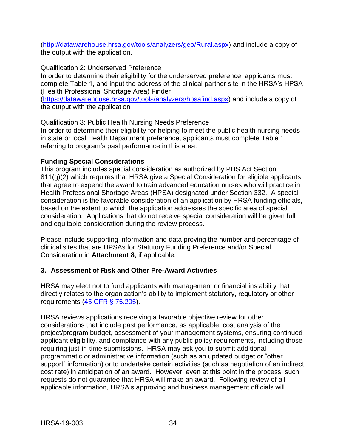[\(http://datawarehouse.hrsa.gov/tools/analyzers/geo/Rural.aspx\)](http://datawarehouse.hrsa.gov/tools/analyzers/geo/Rural.aspx) and include a copy of the output with the application.

Qualification 2: Underserved Preference In order to determine their eligibility for the underserved preference, applicants must complete Table 1, and input the address of the clinical partner site in the HRSA's HPSA (Health Professional Shortage Area) Finder

[\(https://datawarehouse.hrsa.gov/tools/analyzers/hpsafind.aspx\)](https://datawarehouse.hrsa.gov/tools/analyzers/hpsafind.aspx) and include a copy of the output with the application

Qualification 3: Public Health Nursing Needs Preference

In order to determine their eligibility for helping to meet the public health nursing needs in state or local Health Department preference, applicants must complete Table 1, referring to program's past performance in this area.

# **Funding Special Considerations**

This program includes special consideration as authorized by PHS Act Section 811(g)(2) which requires that HRSA give a Special Consideration for eligible applicants that agree to expend the award to train advanced education nurses who will practice in Health Professional Shortage Areas (HPSA) designated under Section 332. A special consideration is the favorable consideration of an application by HRSA funding officials, based on the extent to which the application addresses the specific area of special consideration. Applications that do not receive special consideration will be given full and equitable consideration during the review process.

Please include supporting information and data proving the number and percentage of clinical sites that are HPSAs for Statutory Funding Preference and/or Special Consideration in **Attachment 8**, if applicable.

# <span id="page-37-0"></span>**3. Assessment of Risk and Other Pre-Award Activities**

HRSA may elect not to fund applicants with management or financial instability that directly relates to the organization's ability to implement statutory, regulatory or other requirements [\(45 CFR § 75.205\)](http://www.ecfr.gov/cgi-bin/retrieveECFR?gp=1&SID=4d52364ec83fab994c665943dadf9cf7&ty=HTML&h=L&r=PART&n=pt45.1.75#se45.1.75_1205).

HRSA reviews applications receiving a favorable objective review for other considerations that include past performance, as applicable, cost analysis of the project/program budget, assessment of your management systems, ensuring continued applicant eligibility, and compliance with any public policy requirements, including those requiring just-in-time submissions. HRSA may ask you to submit additional programmatic or administrative information (such as an updated budget or "other support" information) or to undertake certain activities (such as negotiation of an indirect cost rate) in anticipation of an award. However, even at this point in the process, such requests do not guarantee that HRSA will make an award. Following review of all applicable information, HRSA's approving and business management officials will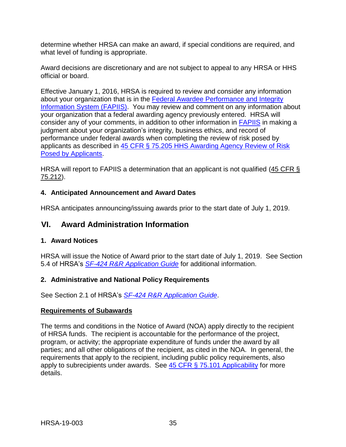determine whether HRSA can make an award, if special conditions are required, and what level of funding is appropriate.

Award decisions are discretionary and are not subject to appeal to any HRSA or HHS official or board.

Effective January 1, 2016, HRSA is required to review and consider any information about your organization that is in the [Federal Awardee Performance and Integrity](https://www.fapiis.gov/)  [Information System \(FAPIIS\).](https://www.fapiis.gov/) You may review and comment on any information about your organization that a federal awarding agency previously entered. HRSA will consider any of your comments, in addition to other information in [FAPIIS](https://www.fapiis.gov/) in making a judgment about your organization's integrity, business ethics, and record of performance under federal awards when completing the review of risk posed by applicants as described in [45 CFR § 75.205 HHS Awarding Agency Review of Risk](http://www.ecfr.gov/cgi-bin/text-idx?node=pt45.1.75)  [Posed by Applicants.](http://www.ecfr.gov/cgi-bin/text-idx?node=pt45.1.75)

HRSA will report to FAPIIS a determination that an applicant is not qualified [\(45 CFR §](http://www.ecfr.gov/cgi-bin/text-idx?node=pt45.1.75)  [75.212\)](http://www.ecfr.gov/cgi-bin/text-idx?node=pt45.1.75).

# <span id="page-38-0"></span>**4. Anticipated Announcement and Award Dates**

HRSA anticipates announcing/issuing awards prior to the start date of July 1, 2019.

# <span id="page-38-1"></span>**VI. Award Administration Information**

## <span id="page-38-2"></span>**1. Award Notices**

HRSA will issue the Notice of Award prior to the start date of July 1, 2019. See Section 5.4 of HRSA's *SF-424 [R&R Application Guide](http://www.hrsa.gov/grants/apply/applicationguide/sf424rrguidev2.pdf)* for additional information.

## <span id="page-38-3"></span>**2. Administrative and National Policy Requirements**

See Section 2.1 of HRSA's *SF-424 [R&R Application Guide](http://www.hrsa.gov/grants/apply/applicationguide/sf424rrguidev2.pdf)*.

## **Requirements of Subawards**

The terms and conditions in the Notice of Award (NOA) apply directly to the recipient of HRSA funds. The recipient is accountable for the performance of the project, program, or activity; the appropriate expenditure of funds under the award by all parties; and all other obligations of the recipient, as cited in the NOA. In general, the requirements that apply to the recipient, including public policy requirements, also apply to subrecipients under awards. See [45 CFR § 75.101 Applicability](https://www.ecfr.gov/cgi-bin/retrieveECFR?gp=1&SID=4d52364ec83fab994c665943dadf9cf7&ty=HTML&h=L&r=PART&n=pt45.1.75) for more details.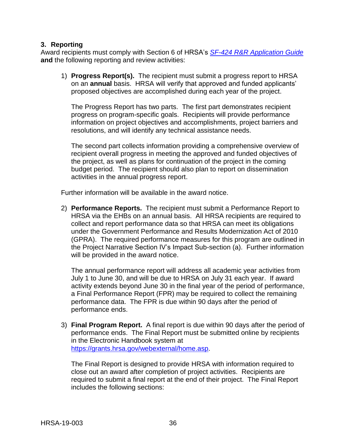#### <span id="page-39-0"></span>**3. Reporting**

Award recipients must comply with Section 6 of HRSA's *SF-424 [R&R Application Guide](http://www.hrsa.gov/grants/apply/applicationguide/sf424rrguidev2.pdf)* **and** the following reporting and review activities:

1) **Progress Report(s).** The recipient must submit a progress report to HRSA on an **annual** basis. HRSA will verify that approved and funded applicants' proposed objectives are accomplished during each year of the project.

The Progress Report has two parts. The first part demonstrates recipient progress on program-specific goals. Recipients will provide performance information on project objectives and accomplishments, project barriers and resolutions, and will identify any technical assistance needs.

The second part collects information providing a comprehensive overview of recipient overall progress in meeting the approved and funded objectives of the project, as well as plans for continuation of the project in the coming budget period. The recipient should also plan to report on dissemination activities in the annual progress report.

Further information will be available in the award notice.

2) **Performance Reports.** The recipient must submit a Performance Report to HRSA via the EHBs on an annual basis. All HRSA recipients are required to collect and report performance data so that HRSA can meet its obligations under the Government Performance and Results Modernization Act of 2010 (GPRA). The required performance measures for this program are outlined in the Project Narrative Section IV's Impact Sub-section (a). Further information will be provided in the award notice.

The annual performance report will address all academic year activities from July 1 to June 30, and will be due to HRSA on July 31 each year. If award activity extends beyond June 30 in the final year of the period of performance, a Final Performance Report (FPR) may be required to collect the remaining performance data. The FPR is due within 90 days after the period of performance ends.

3) **Final Program Report.** A final report is due within 90 days after the period of performance ends. The Final Report must be submitted online by recipients in the Electronic Handbook system at [https://grants.hrsa.gov/webexternal/home.asp.](https://grants.hrsa.gov/webexternal/home.asp)

The Final Report is designed to provide HRSA with information required to close out an award after completion of project activities. Recipients are required to submit a final report at the end of their project. The Final Report includes the following sections: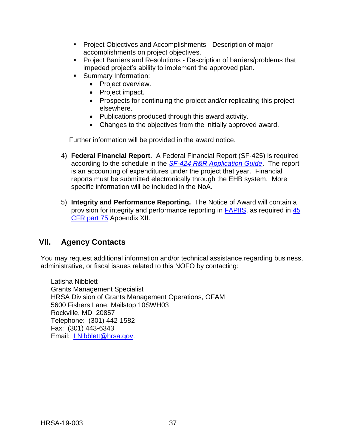- **Project Objectives and Accomplishments Description of major** accomplishments on project objectives.
- **Project Barriers and Resolutions Description of barriers/problems that** impeded project's ability to implement the approved plan.
- Summary Information:
	- Project overview.
	- Project impact.
	- Prospects for continuing the project and/or replicating this project elsewhere.
	- Publications produced through this award activity.
	- Changes to the objectives from the initially approved award.

Further information will be provided in the award notice.

- 4) **Federal Financial Report.** A Federal Financial Report (SF-425) is required according to the schedule in the *SF-424 [R&R Application Guide](http://www.hrsa.gov/grants/apply/applicationguide/sf424rrguidev2.pdf)*. The report is an accounting of expenditures under the project that year. Financial reports must be submitted electronically through the EHB system. More specific information will be included in the NoA.
- 5) **Integrity and Performance Reporting.** The Notice of Award will contain a provision for integrity and performance reporting in **FAPIIS**, as required in  $\frac{45}{5}$ [CFR part 75](http://www.ecfr.gov/cgi-bin/retrieveECFR?gp=1&SID=4d52364ec83fab994c665943dadf9cf7&ty=HTML&h=L&r=PART&n=pt45.1.75%20-%20ap45.1.75_1521.xii) Appendix XII.

# <span id="page-40-0"></span>**VII. Agency Contacts**

You may request additional information and/or technical assistance regarding business, administrative, or fiscal issues related to this NOFO by contacting:

Latisha Nibblett Grants Management Specialist HRSA Division of Grants Management Operations, OFAM 5600 Fishers Lane, Mailstop 10SWH03 Rockville, MD 20857 Telephone: (301) 442-1582 Fax: (301) 443-6343 Email: [LNibblett@hrsa.gov.](mailto:LNibblett@hrsa.gov)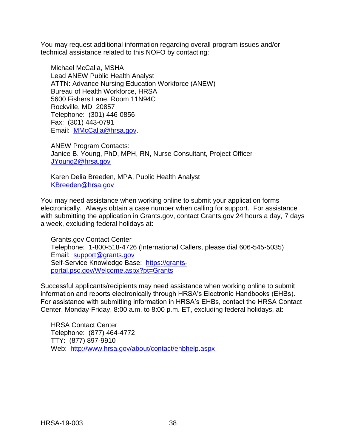You may request additional information regarding overall program issues and/or technical assistance related to this NOFO by contacting:

Michael McCalla, MSHA Lead ANEW Public Health Analyst ATTN: Advance Nursing Education Workforce (ANEW) Bureau of Health Workforce, HRSA 5600 Fishers Lane, Room 11N94C Rockville, MD 20857 Telephone: (301) 446-0856 Fax: (301) 443-0791 Email: [MMcCalla@hrsa.gov.](mailto:MMcCalla@hrsa.gov)

ANEW Program Contacts:

Janice B. Young, PhD, MPH, RN, Nurse Consultant, Project Officer [JYoung2@hrsa.gov](mailto:JYoung2@hrsa.gov)

Karen Delia Breeden, MPA, Public Health Analyst [KBreeden@hrsa.gov](mailto:KBreeden@hrsa.gov)

You may need assistance when working online to submit your application forms electronically. Always obtain a case number when calling for support. For assistance with submitting the application in Grants.gov, contact Grants.gov 24 hours a day, 7 days a week, excluding federal holidays at:

Grants.gov Contact Center Telephone: 1-800-518-4726 (International Callers, please dial 606-545-5035) Email: [support@grants.gov](mailto:support@grants.gov) Self-Service Knowledge Base: [https://grants](https://grants-portal.psc.gov/Welcome.aspx?pt=Grants)[portal.psc.gov/Welcome.aspx?pt=Grants](https://grants-portal.psc.gov/Welcome.aspx?pt=Grants)

Successful applicants/recipients may need assistance when working online to submit information and reports electronically through HRSA's Electronic Handbooks (EHBs). For assistance with submitting information in HRSA's EHBs, contact the HRSA Contact Center, Monday-Friday, 8:00 a.m. to 8:00 p.m. ET, excluding federal holidays, at:

HRSA Contact Center Telephone: (877) 464-4772 TTY: (877) 897-9910 Web: <http://www.hrsa.gov/about/contact/ehbhelp.aspx>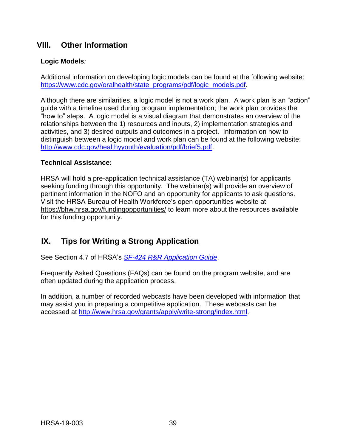# <span id="page-42-0"></span>**VIII. Other Information**

## **Logic Models***:*

Additional information on developing logic models can be found at the following website: [https://www.cdc.gov/oralhealth/state\\_programs/pdf/logic\\_models.pdf.](https://www.cdc.gov/oralhealth/state_programs/pdf/logic_models.pdf)

Although there are similarities, a logic model is not a work plan. A work plan is an "action" guide with a timeline used during program implementation; the work plan provides the "how to" steps. A logic model is a visual diagram that demonstrates an overview of the relationships between the 1) resources and inputs, 2) implementation strategies and activities, and 3) desired outputs and outcomes in a project. Information on how to distinguish between a logic model and work plan can be found at the following website: [http://www.cdc.gov/healthyyouth/evaluation/pdf/brief5.pdf.](http://www.cdc.gov/healthyyouth/evaluation/pdf/brief5.pdf)

#### **Technical Assistance:**

HRSA will hold a pre-application technical assistance (TA) webinar(s) for applicants seeking funding through this opportunity. The webinar(s) will provide an overview of pertinent information in the NOFO and an opportunity for applicants to ask questions. Visit the HRSA Bureau of Health Workforce's open opportunities website at <https://bhw.hrsa.gov/fundingopportunities/> to learn more about the resources available for this funding opportunity.

# <span id="page-42-1"></span>**IX. Tips for Writing a Strong Application**

See Section 4.7 of HRSA's *SF-424 [R&R Application Guide](http://www.hrsa.gov/grants/apply/applicationguide/sf424rrguidev2.pdf)*.

Frequently Asked Questions (FAQs) can be found on the program website, and are often updated during the application process.

In addition, a number of recorded webcasts have been developed with information that may assist you in preparing a competitive application. These webcasts can be accessed at [http://www.hrsa.gov/grants/apply/write-strong/i](http://www.hrsa.gov/grants/apply/write-strong/)ndex.html.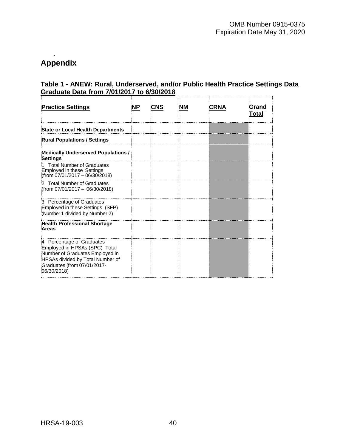# <span id="page-43-0"></span>**Appendix**

# **Table 1 - ANEW: Rural, Underserved, and/or Public Health Practice Settings Data Graduate Data from 7/01/2017 to 6/30/2018**

| <b>Practice Settings</b>                                                                                                                                                          | NΡ | CNS | ΝM | CRNA | Grand<br>Total |
|-----------------------------------------------------------------------------------------------------------------------------------------------------------------------------------|----|-----|----|------|----------------|
| State or Local Health Departments                                                                                                                                                 |    |     |    |      |                |
| <b>Rural Populations / Settings</b>                                                                                                                                               |    |     |    |      |                |
| Medically Underserved Populations /<br>Settings                                                                                                                                   |    |     |    |      |                |
| 1. Total Number of Graduates<br>Employed in these Settings<br>:(from 07/01/2017 - 06/30/2018)                                                                                     |    |     |    |      |                |
| 2. Total Number of Graduates<br>:(from 07/01/2017 - 06/30/2018)                                                                                                                   |    |     |    |      |                |
| 3. Percentage of Graduates<br>Employed in these Settings (SFP)<br>(Number 1 divided by Number 2)                                                                                  |    |     |    |      |                |
| Health Professional Shortage<br>:Areas                                                                                                                                            |    |     |    |      |                |
| 4. Percentage of Graduates<br>Employed in HPSAs (SPC) Total<br>Number of Graduates Employed in<br>HPSAs divided by Total Number of<br>Graduates (from 07/01/2017-<br>(06/30/2018) |    |     |    |      |                |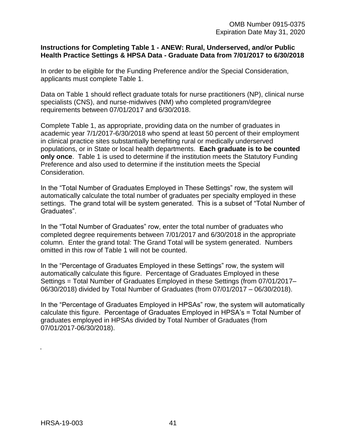#### **Instructions for Completing Table 1 - ANEW: Rural, Underserved, and/or Public Health Practice Settings & HPSA Data - Graduate Data from 7/01/2017 to 6/30/2018**

In order to be eligible for the Funding Preference and/or the Special Consideration, applicants must complete Table 1.

Data on Table 1 should reflect graduate totals for nurse practitioners (NP), clinical nurse specialists (CNS), and nurse-midwives (NM) who completed program/degree requirements between 07/01/2017 and 6/30/2018.

Complete Table 1, as appropriate, providing data on the number of graduates in academic year 7/1/2017-6/30/2018 who spend at least 50 percent of their employment in clinical practice sites substantially benefiting rural or medically underserved populations, or in State or local health departments. **Each graduate is to be counted only once**. Table 1 is used to determine if the institution meets the Statutory Funding Preference and also used to determine if the institution meets the Special Consideration.

In the "Total Number of Graduates Employed in These Settings" row, the system will automatically calculate the total number of graduates per specialty employed in these settings. The grand total will be system generated. This is a subset of "Total Number of Graduates".

In the "Total Number of Graduates" row, enter the total number of graduates who completed degree requirements between 7/01/2017 and 6/30/2018 in the appropriate column. Enter the grand total: The Grand Total will be system generated. Numbers omitted in this row of Table 1 will not be counted.

In the "Percentage of Graduates Employed in these Settings" row, the system will automatically calculate this figure. Percentage of Graduates Employed in these Settings = Total Number of Graduates Employed in these Settings (from 07/01/2017– 06/30/2018) divided by Total Number of Graduates (from 07/01/2017 – 06/30/2018).

In the "Percentage of Graduates Employed in HPSAs" row, the system will automatically calculate this figure. Percentage of Graduates Employed in HPSA's = Total Number of graduates employed in HPSAs divided by Total Number of Graduates (from 07/01/2017-06/30/2018).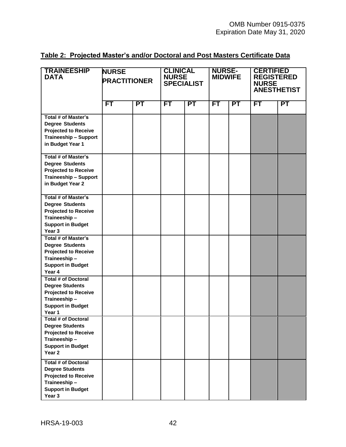| <b>TRAINEESHIP</b>           | <b>NURSE</b>        |           |              | <b>CLINICAL</b>   |                | <b>NURSE-</b> |                    | <b>CERTIFIED</b>         |  |
|------------------------------|---------------------|-----------|--------------|-------------------|----------------|---------------|--------------------|--------------------------|--|
| <b>DATA</b>                  |                     |           | <b>NURSE</b> |                   | <b>MIDWIFE</b> |               | <b>REGISTERED</b>  |                          |  |
|                              | <b>PRACTITIONER</b> |           |              | <b>SPECIALIST</b> |                |               |                    | <b>NURSE</b>             |  |
|                              |                     |           |              |                   |                |               | <b>ANESTHETIST</b> |                          |  |
|                              |                     |           |              |                   |                |               |                    |                          |  |
|                              | FT                  | <b>PT</b> | FT           | PT                | FT             | PT            | FT                 | $\overline{\mathsf{PT}}$ |  |
| <b>Total # of Master's</b>   |                     |           |              |                   |                |               |                    |                          |  |
| <b>Degree Students</b>       |                     |           |              |                   |                |               |                    |                          |  |
| <b>Projected to Receive</b>  |                     |           |              |                   |                |               |                    |                          |  |
| <b>Traineeship - Support</b> |                     |           |              |                   |                |               |                    |                          |  |
| in Budget Year 1             |                     |           |              |                   |                |               |                    |                          |  |
|                              |                     |           |              |                   |                |               |                    |                          |  |
| <b>Total # of Master's</b>   |                     |           |              |                   |                |               |                    |                          |  |
| <b>Degree Students</b>       |                     |           |              |                   |                |               |                    |                          |  |
| <b>Projected to Receive</b>  |                     |           |              |                   |                |               |                    |                          |  |
| <b>Traineeship - Support</b> |                     |           |              |                   |                |               |                    |                          |  |
| in Budget Year 2             |                     |           |              |                   |                |               |                    |                          |  |
|                              |                     |           |              |                   |                |               |                    |                          |  |
| <b>Total # of Master's</b>   |                     |           |              |                   |                |               |                    |                          |  |
| <b>Degree Students</b>       |                     |           |              |                   |                |               |                    |                          |  |
| <b>Projected to Receive</b>  |                     |           |              |                   |                |               |                    |                          |  |
| Traineeship-                 |                     |           |              |                   |                |               |                    |                          |  |
| <b>Support in Budget</b>     |                     |           |              |                   |                |               |                    |                          |  |
| Year <sub>3</sub>            |                     |           |              |                   |                |               |                    |                          |  |
| <b>Total # of Master's</b>   |                     |           |              |                   |                |               |                    |                          |  |
| <b>Degree Students</b>       |                     |           |              |                   |                |               |                    |                          |  |
| <b>Projected to Receive</b>  |                     |           |              |                   |                |               |                    |                          |  |
| Traineeship-                 |                     |           |              |                   |                |               |                    |                          |  |
| <b>Support in Budget</b>     |                     |           |              |                   |                |               |                    |                          |  |
| Year 4                       |                     |           |              |                   |                |               |                    |                          |  |
| <b>Total # of Doctoral</b>   |                     |           |              |                   |                |               |                    |                          |  |
| <b>Degree Students</b>       |                     |           |              |                   |                |               |                    |                          |  |
| <b>Projected to Receive</b>  |                     |           |              |                   |                |               |                    |                          |  |
| Traineeship-                 |                     |           |              |                   |                |               |                    |                          |  |
| <b>Support in Budget</b>     |                     |           |              |                   |                |               |                    |                          |  |
| Year 1                       |                     |           |              |                   |                |               |                    |                          |  |
| <b>Total # of Doctoral</b>   |                     |           |              |                   |                |               |                    |                          |  |
| <b>Degree Students</b>       |                     |           |              |                   |                |               |                    |                          |  |
| <b>Projected to Receive</b>  |                     |           |              |                   |                |               |                    |                          |  |
| Traineeship-                 |                     |           |              |                   |                |               |                    |                          |  |
| <b>Support in Budget</b>     |                     |           |              |                   |                |               |                    |                          |  |
| Year <sub>2</sub>            |                     |           |              |                   |                |               |                    |                          |  |
| <b>Total # of Doctoral</b>   |                     |           |              |                   |                |               |                    |                          |  |
| <b>Degree Students</b>       |                     |           |              |                   |                |               |                    |                          |  |
| <b>Projected to Receive</b>  |                     |           |              |                   |                |               |                    |                          |  |
| Traineeship-                 |                     |           |              |                   |                |               |                    |                          |  |
| <b>Support in Budget</b>     |                     |           |              |                   |                |               |                    |                          |  |
| Year 3                       |                     |           |              |                   |                |               |                    |                          |  |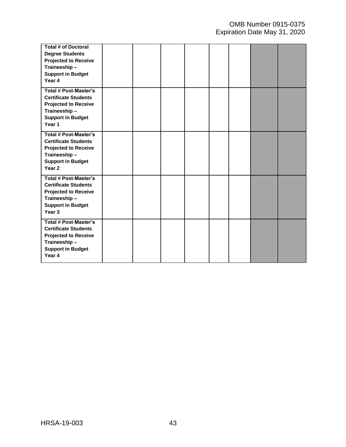| <b>Total # of Doctoral</b><br><b>Degree Students</b><br><b>Projected to Receive</b><br>Traineeship-<br><b>Support in Budget</b><br>Year 4                   |  |  |  |  |
|-------------------------------------------------------------------------------------------------------------------------------------------------------------|--|--|--|--|
| <b>Total # Post-Master's</b><br><b>Certificate Students</b><br><b>Projected to Receive</b><br>Traineeship-<br><b>Support in Budget</b><br>Year 1            |  |  |  |  |
| <b>Total # Post-Master's</b><br><b>Certificate Students</b><br><b>Projected to Receive</b><br>Traineeship-<br><b>Support in Budget</b><br>Year <sub>2</sub> |  |  |  |  |
| <b>Total # Post-Master's</b><br><b>Certificate Students</b><br><b>Projected to Receive</b><br>Traineeship-<br><b>Support in Budget</b><br>Year <sub>3</sub> |  |  |  |  |
| <b>Total # Post-Master's</b><br><b>Certificate Students</b><br><b>Projected to Receive</b><br>Traineeship-<br><b>Support in Budget</b><br>Year 4            |  |  |  |  |